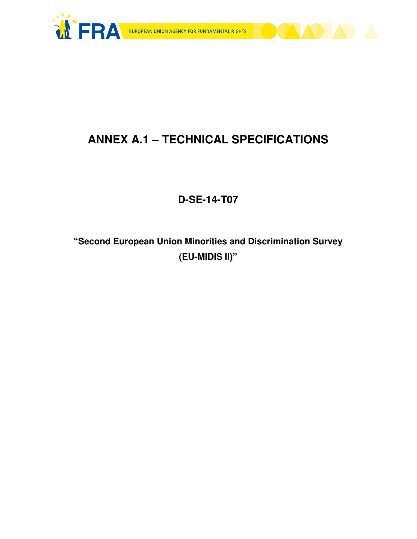



# **ANNEX A.1 – TECHNICAL SPECIFICATIONS**

# **D-SE-14-T07**

**"Second European Union Minorities and Discrimination Survey (EU-MIDIS II)"**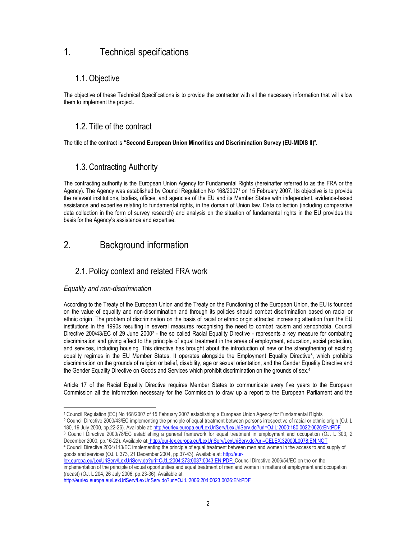## 1. Technical specifications

### 1.1. Objective

The objective of these Technical Specifications is to provide the contractor with all the necessary information that will allow them to implement the project.

### 1.2. Title of the contract

The title of the contract is "Second European Union Minorities and Discrimination Survey (EU-MIDIS II)".

### 1.3. Contracting Authority

The contracting authority is the European Union Agency for Fundamental Rights (hereinafter referred to as the FRA or the Agency). The Agency was established by Council Regulation No 168/20071 on 15 February 2007. Its objective is to provide the relevant institutions, bodies, offices, and agencies of the EU and its Member States with independent, evidence-based assistance and expertise relating to fundamental rights, in the domain of Union law. Data collection (including comparative data collection in the form of survey research) and analysis on the situation of fundamental rights in the EU provides the basis for the Agency's assistance and expertise.

## 2. Background information

### 2.1. Policy context and related FRA work

### Equality and non-discrimination

 $\overline{a}$ 

According to the Treaty of the European Union and the Treaty on the Functioning of the European Union, the EU is founded on the value of equality and non-discrimination and through its policies should combat discrimination based on racial or ethnic origin. The problem of discrimination on the basis of racial or ethnic origin attracted increasing attention from the EU institutions in the 1990s resulting in several measures recognising the need to combat racism and xenophobia. Council Directive 200/43/EC of 29 June 2000<sup>2</sup> - the so called Racial Equality Directive - represents a key measure for combating discrimination and giving effect to the principle of equal treatment in the areas of employment, education, social protection, and services, including housing. This directive has brought about the introduction of new or the strengthening of existing equality regimes in the EU Member States. It operates alongside the Employment Equality Directive<sup>3</sup>, which prohibits discrimination on the grounds of religion or belief, disability, age or sexual orientation, and the Gender Equality Directive and the Gender Equality Directive on Goods and Services which prohibit discrimination on the grounds of sex.4

Article 17 of the Racial Equality Directive requires Member States to communicate every five years to the European Commission all the information necessary for the Commission to draw up a report to the European Parliament and the

<sup>4</sup> Council Directive 2004/113/EC implementing the principle of equal treatment between men and women in the access to and supply of goods and services (OJ. L 373, 21 December 2004, pp.37-43). Available at: http://eur-

lex.europa.eu/LexUriServ/LexUriServ.do?uri=OJ:L:2004:373:0037:0043:EN:PDF; Council Directive 2006/54/EC on the on the implementation of the principle of equal opportunities and equal treatment of men and women in matters of employment and occupation (recast) (OJ. L 204, 26 July 2006, pp.23-36). Available at:

<sup>1</sup> Council Regulation (EC) No 168/2007 of 15 February 2007 establishing a European Union Agency for Fundamental Rights

<sup>2</sup> Council Directive 2000/43/EC implementing the principle of equal treatment between persons irrespective of racial or ethnic origin (OJ. L 180, 19 July 2000, pp.22-26). Available at: http://eurlex.europa.eu/LexUriServ/LexUriServ.do?uri=OJ:L:2000:180:0022:0026:EN:PDF

<sup>3</sup> Council Directive 2000/78/EC establishing a general framework for equal treatment in employment and occupation (OJ. L 303, 2 December 2000, pp.16-22). Available at: http://eur-lex.europa.eu/LexUriServ/LexUriServ.do?uri=CELEX:32000L0078:EN:NOT

http://eurlex.europa.eu/LexUriServ/LexUriServ.do?uri=OJ:L:2006:204:0023:0036:EN:PDF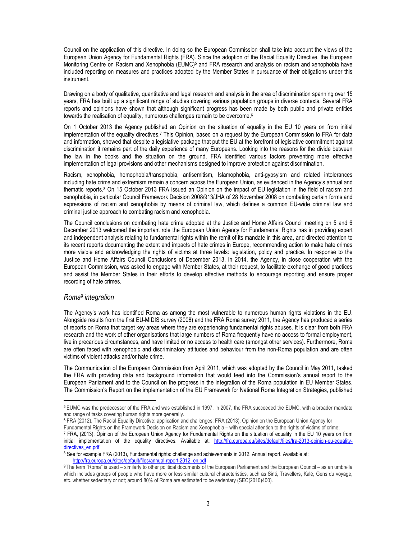Council on the application of this directive. In doing so the European Commission shall take into account the views of the European Union Agency for Fundamental Rights (FRA). Since the adoption of the Racial Equality Directive, the European Monitoring Centre on Racism and Xenophobia (EUMC)<sup>5</sup> and FRA research and analysis on racism and xenophobia have included reporting on measures and practices adopted by the Member States in pursuance of their obligations under this instrument.

Drawing on a body of qualitative, quantitative and legal research and analysis in the area of discrimination spanning over 15 years, FRA has built up a significant range of studies covering various population groups in diverse contexts. Several FRA reports and opinions have shown that although significant progress has been made by both public and private entities towards the realisation of equality, numerous challenges remain to be overcome.<sup>6</sup>

On 1 October 2013 the Agency published an Opinion on the situation of equality in the EU 10 years on from initial implementation of the equality directives.<sup>7</sup> This Opinion, based on a request by the European Commission to FRA for data and information, showed that despite a legislative package that put the EU at the forefront of legislative commitment against discrimination it remains part of the daily experience of many Europeans. Looking into the reasons for the divide between the law in the books and the situation on the ground, FRA identified various factors preventing more effective implementation of legal provisions and other mechanisms designed to improve protection against discrimination.

Racism, xenophobia, homophobia/transphobia, antisemitism, Islamophobia, anti-gypsyism and related intolerances including hate crime and extremism remain a concern across the European Union, as evidenced in the Agency's annual and thematic reports.<sup>8</sup> On 15 October 2013 FRA issued an Opinion on the impact of EU legislation in the field of racism and xenophobia, in particular Council Framework Decision 2008/913/JHA of 28 November 2008 on combating certain forms and expressions of racism and xenophobia by means of criminal law, which defines a common EU-wide criminal law and criminal justice approach to combating racism and xenophobia.

The Council conclusions on combating hate crime adopted at the Justice and Home Affairs Council meeting on 5 and 6 December 2013 welcomed the important role the European Union Agency for Fundamental Rights has in providing expert and independent analysis relating to fundamental rights within the remit of its mandate in this area, and directed attention to its recent reports documenting the extent and impacts of hate crimes in Europe, recommending action to make hate crimes more visible and acknowledging the rights of victims at three levels: legislation, policy and practice. In response to the Justice and Home Affairs Council Conclusions of December 2013, in 2014, the Agency, in close cooperation with the European Commission, was asked to engage with Member States, at their request, to facilitate exchange of good practices and assist the Member States in their efforts to develop effective methods to encourage reporting and ensure proper recording of hate crimes.

#### Roma<sup>9</sup> integration

 $\overline{a}$ 

The Agency's work has identified Roma as among the most vulnerable to numerous human rights violations in the EU. Alongside results from the first EU-MIDIS survey (2008) and the FRA Roma survey 2011, the Agency has produced a series of reports on Roma that target key areas where they are experiencing fundamental rights abuses. It is clear from both FRA research and the work of other organisations that large numbers of Roma frequently have no access to formal employment, live in precarious circumstances, and have limited or no access to health care (amongst other services). Furthermore, Roma are often faced with xenophobic and discriminatory attitudes and behaviour from the non-Roma population and are often victims of violent attacks and/or hate crime.

The Communication of the European Commission from April 2011, which was adopted by the Council in May 2011, tasked the FRA with providing data and background information that would feed into the Commission's annual report to the European Parliament and to the Council on the progress in the integration of the Roma population in EU Member States. The Commission's Report on the implementation of the EU Framework for National Roma Integration Strategies, published

6 FRA (2012), The Racial Equality Directive: application and challenges; FRA (2013), Opinion on the European Union Agency for Fundamental Rights on the Framework Decision on Racism and Xenophobia – with special attention to the rights of victims of crime;

 $8$  See for example FRA (2013), Fundamental rights: challenge and achievements in 2012. Annual report. Available at: http://fra.europa.eu/sites/default/files/annual-report-2012\_en.pdf

<sup>5</sup> EUMC was the predecessor of the FRA and was established in 1997. In 2007, the FRA succeeded the EUMC, with a broader mandate and range of tasks covering human rights more generally.

<sup>7</sup> FRA, (2013), Opinion of the European Union Agency for Fundamental Rights on the situation of equality in the EU 10 years on from initial implementation of the equality directives. Available at: http://fra.europa.eu/sites/default/files/fra-2013-opinion-eu-equalitydirectives\_en.pdf

<sup>9</sup>The term "Roma" is used – similarly to other political documents of the European Parliament and the European Council – as an umbrella which includes groups of people who have more or less similar cultural characteristics, such as Sinti, Travellers, Kalé, Gens du voyage, etc. whether sedentary or not; around 80% of Roma are estimated to be sedentary (SEC(2010)400).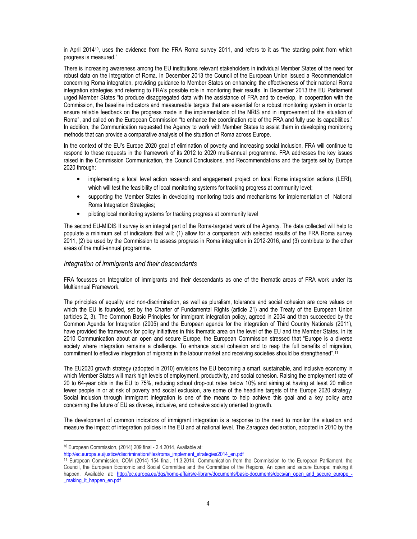in April 201410, uses the evidence from the FRA Roma survey 2011, and refers to it as "the starting point from which progress is measured."

There is increasing awareness among the EU institutions relevant stakeholders in individual Member States of the need for robust data on the integration of Roma. In December 2013 the Council of the European Union issued a Recommendation concerning Roma integration, providing guidance to Member States on enhancing the effectiveness of their national Roma integration strategies and referring to FRA's possible role in monitoring their results. In December 2013 the EU Parliament urged Member States "to produce disaggregated data with the assistance of FRA and to develop, in cooperation with the Commission, the baseline indicators and measureable targets that are essential for a robust monitoring system in order to ensure reliable feedback on the progress made in the implementation of the NRIS and in improvement of the situation of Roma", and called on the European Commission "to enhance the coordination role of the FRA and fully use its capabilities." In addition, the Communication requested the Agency to work with Member States to assist them in developing monitoring methods that can provide a comparative analysis of the situation of Roma across Europe.

In the context of the EU's Europe 2020 goal of elimination of poverty and increasing social inclusion, FRA will continue to respond to these requests in the framework of its 2012 to 2020 multi-annual programme. FRA addresses the key issues raised in the Commission Communication, the Council Conclusions, and Recommendations and the targets set by Europe 2020 through:

- implementing a local level action research and engagement project on local Roma integration actions (LERI), which will test the feasibility of local monitoring systems for tracking progress at community level;
- supporting the Member States in developing monitoring tools and mechanisms for implementation of National Roma Integration Strategies;
- piloting local monitoring systems for tracking progress at community level

The second EU-MIDIS II survey is an integral part of the Roma-targeted work of the Agency. The data collected will help to populate a minimum set of indicators that will: (1) allow for a comparison with selected results of the FRA Roma survey 2011, (2) be used by the Commission to assess progress in Roma integration in 2012-2016, and (3) contribute to the other areas of the multi-annual programme.

#### Integration of immigrants and their descendants

FRA focusses on Integration of immigrants and their descendants as one of the thematic areas of FRA work under its Multiannual Framework.

The principles of equality and non-discrimination, as well as pluralism, tolerance and social cohesion are core values on which the EU is founded, set by the Charter of Fundamental Rights (article 21) and the Treaty of the European Union (articles 2, 3). The Common Basic Principles for immigrant integration policy, agreed in 2004 and then succeeded by the Common Agenda for Integration (2005) and the European agenda for the integration of Third Country Nationals (2011), have provided the framework for policy initiatives in this thematic area on the level of the EU and the Member States. In its 2010 Communication about an open and secure Europe, the European Commission stressed that "Europe is a diverse society where integration remains a challenge. To enhance social cohesion and to reap the full benefits of migration, commitment to effective integration of migrants in the labour market and receiving societies should be strengthened".<sup>11</sup>

The EU2020 growth strategy (adopted in 2010) envisions the EU becoming a smart, sustainable, and inclusive economy in which Member States will mark high levels of employment, productivity, and social cohesion. Raising the employment rate of 20 to 64-year olds in the EU to 75%, reducing school drop-out rates below 10% and aiming at having at least 20 million fewer people in or at risk of poverty and social exclusion, are some of the headline targets of the Europe 2020 strategy. Social inclusion through immigrant integration is one of the means to help achieve this goal and a key policy area concerning the future of EU as diverse, inclusive, and cohesive society oriented to growth.

The development of common indicators of immigrant integration is a response to the need to monitor the situation and measure the impact of integration policies in the EU and at national level. The Zaragoza declaration, adopted in 2010 by the

<sup>10</sup> European Commission, (2014) 209 final - 2.4.2014, Available at:

http://ec.europa.eu/justice/discrimination/files/roma\_implement\_strategies2014\_en.pdf

<sup>11</sup> European Commission, COM (2014) 154 final, 11.3.2014, Communication from the Commission to the European Parliament, the Council, the European Economic and Social Committee and the Committee of the Regions, An open and secure Europe: making it happen. Available at: http://ec.europa.eu/dgs/home-affairs/e-library/documents/basic-documents/docs/an\_open\_and\_secure\_europe\_making it happen en.pdf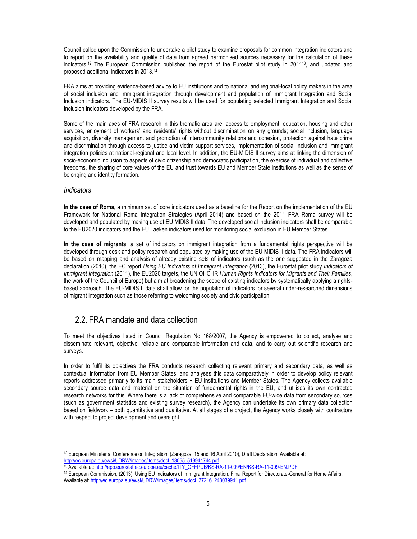Council called upon the Commission to undertake a pilot study to examine proposals for common integration indicators and to report on the availability and quality of data from agreed harmonised sources necessary for the calculation of these indicators.12 The European Commission published the report of the Eurostat pilot study in 201113, and updated and proposed additional indicators in 2013.<sup>14</sup>

FRA aims at providing evidence-based advice to EU institutions and to national and regional-local policy makers in the area of social inclusion and immigrant integration through development and population of Immigrant Integration and Social Inclusion indicators. The EU-MIDIS II survey results will be used for populating selected Immigrant Integration and Social Inclusion indicators developed by the FRA.

Some of the main axes of FRA research in this thematic area are: access to employment, education, housing and other services, enjoyment of workers' and residents' rights without discrimination on any grounds; social inclusion, language acquisition, diversity management and promotion of intercommunity relations and cohesion, protection against hate crime and discrimination through access to justice and victim support services, implementation of social inclusion and immigrant integration policies at national-regional and local level. In addition, the EU-MIDIS II survey aims at linking the dimension of socio-economic inclusion to aspects of civic citizenship and democratic participation, the exercise of individual and collective freedoms, the sharing of core values of the EU and trust towards EU and Member State institutions as well as the sense of belonging and identity formation.

#### **Indicators**

 $\overline{a}$ 

In the case of Roma, a minimum set of core indicators used as a baseline for the Report on the implementation of the EU Framework for National Roma Integration Strategies (April 2014) and based on the 2011 FRA Roma survey will be developed and populated by making use of EU MIDIS II data. The developed social inclusion indicators shall be comparable to the EU2020 indicators and the EU Laeken indicators used for monitoring social exclusion in EU Member States.

In the case of migrants, a set of indicators on immigrant integration from a fundamental rights perspective will be developed through desk and policy research and populated by making use of the EU MIDIS II data. The FRA indicators will be based on mapping and analysis of already existing sets of indicators (such as the one suggested in the Zaragoza declaration (2010), the EC report Using EU Indicators of Immigrant Integration (2013), the Eurostat pilot study Indicators of Immigrant Integration (2011), the EU2020 targets, the UN OHCHR Human Rights Indicators for Migrants and Their Families, the work of the Council of Europe) but aim at broadening the scope of existing indicators by systematically applying a rightsbased approach. The EU-MIDIS II data shall allow for the population of indicators for several under-researched dimensions of migrant integration such as those referring to welcoming society and civic participation.

### 2.2. FRA mandate and data collection

To meet the objectives listed in Council Regulation No 168/2007, the Agency is empowered to collect, analyse and disseminate relevant, objective, reliable and comparable information and data, and to carry out scientific research and surveys.

In order to fulfil its objectives the FRA conducts research collecting relevant primary and secondary data, as well as contextual information from EU Member States, and analyses this data comparatively in order to develop policy relevant reports addressed primarily to its main stakeholders − EU institutions and Member States. The Agency collects available secondary source data and material on the situation of fundamental rights in the EU, and utilises its own contracted research networks for this. Where there is a lack of comprehensive and comparable EU-wide data from secondary sources (such as government statistics and existing survey research), the Agency can undertake its own primary data collection based on fieldwork – both quantitative and qualitative. At all stages of a project, the Agency works closely with contractors with respect to project development and oversight.

<sup>14</sup> European Commission, (2013): Using EU Indicators of Immigrant Integration, Final Report for Directorate-General for Home Affairs. Available at: http://ec.europa.eu/ewsi/UDRW/images/items/docl\_37216\_243039941.pdf

 $12$  European Ministerial Conference on Integration, (Zaragoza, 15 and 16 April 2010), Draft Declaration. Available at: http://ec.europa.eu/ewsi/UDRW/images/items/docl\_13055\_519941744.pdf

<sup>13</sup> Available at: http://epp.eurostat.ec.europa.eu/cache/ITY\_OFFPUB/KS-RA-11-009/EN/KS-RA-11-009-EN.PDF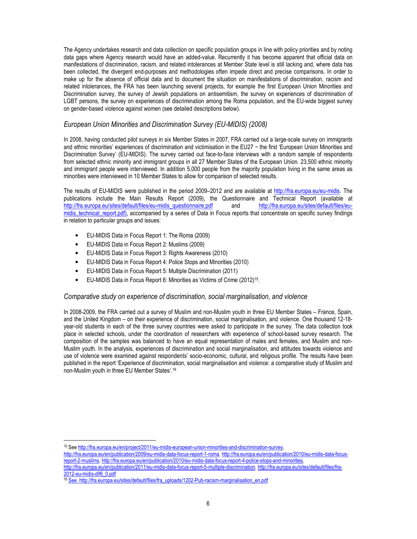The Agency undertakes research and data collection on specific population groups in line with policy priorities and by noting data gaps where Agency research would have an added-value. Recurrently it has become apparent that official data on manifestations of discrimination, racism, and related intolerances at Member State level is still lacking and, where data has been collected, the divergent end-purposes and methodologies often impede direct and precise comparisons. In order to make up for the absence of official data and to document the situation on manifestations of discrimination, racism and related intolerances, the FRA has been launching several projects, for example the first European Union Minorities and Discrimination survey, the survey of Jewish populations on antisemitism, the survey on experiences of discrimination of LGBT persons, the survey on experiences of discrimination among the Roma population, and the EU-wide biggest survey on gender-based violence against women (see detailed descriptions below).

### European Union Minorities and Discrimination Survey (EU-MIDIS) (2008)

In 2008, having conducted pilot surveys in six Member States in 2007, FRA carried out a large-scale survey on immigrants and ethnic minorities' experiences of discrimination and victimisation in the EU27 − the first 'European Union Minorities and Discrimination Survey' (EU-MIDIS). The survey carried out face-to-face interviews with a random sample of respondents from selected ethnic minority and immigrant groups in all 27 Member States of the European Union. 23,500 ethnic minority and immigrant people were interviewed. In addition 5,000 people from the majority population living in the same areas as minorities were interviewed in 10 Member States to allow for comparison of selected results.

The results of EU-MIDIS were published in the period 2009–2012 and are available at http://fra.europa.eu/eu-midis. The publications include the Main Results Report (2009), the Questionnaire and Technical Report (available at http://fra.europa.eu/sites/default/files/eu-midis\_questionnaire.pdf and http://fra.europa.eu/sites/default/files/euhttp://fra.europa.eu/sites/default/files/eu-midis\_questionnaire.pdf midis\_technical\_report.pdf), accompanied by a series of Data in Focus reports that concentrate on specific survey findings in relation to particular groups and issues:

- EU-MIDIS Data in Focus Report 1: The Roma (2009)
- EU-MIDIS Data in Focus Report 2: Muslims (2009)
- EU-MIDIS Data in Focus Report 3: Rights Awareness (2010)
- EU-MIDIS Data in Focus Report 4: Police Stops and Minorities (2010)
- EU-MIDIS Data in Focus Report 5: Multiple Discrimination (2011)
- EU-MIDIS Data in Focus Report 6: Minorities as Victims of Crime (2012)<sup>15</sup>.

#### Comparative study on experience of discrimination, social marginalisation, and violence

In 2008-2009, the FRA carried out a survey of Muslim and non-Muslim youth in three EU Member States – France, Spain, and the United Kingdom – on their experience of discrimination, social marginalisation, and violence. One thousand 12-18 year-old students in each of the three survey countries were asked to participate in the survey. The data collection took place in selected schools, under the coordination of researchers with experience of school-based survey research. The composition of the samples was balanced to have an equal representation of males and females, and Muslim and non-Muslim youth. In the analysis, experiences of discrimination and social marginalisation, and attitudes towards violence and use of violence were examined against respondents' socio-economic, cultural, and religious profile. The results have been published in the report 'Experience of discrimination, social marginalisation and violence: a comparative study of Muslim and non-Muslim youth in three EU Member States'.<sup>16</sup>

http://fra.europa.eu/en/publication/2011/eu-midis-data-focus-report-5-multiple-discrimination, http://fra.europa.eu/sites/default/files/fra-2012-eu-midis-dif6\_0.pdf

<sup>15</sup> See http://fra.europa.eu/en/project/2011/eu-midis-european-union-minorities-and-discrimination-survey,

http://fra.europa.eu/en/publication/2009/eu-midis-data-focus-report-1-roma, http://fra.europa.eu/en/publication/2010/eu-midis-data-focusreport-2-muslims, http://fra.europa.eu/en/publication/2010/eu-midis-data-focus-report-4-police-stops-and-minorities,

<sup>16</sup> See http://fra.europa.eu/sites/default/files/fra\_uploads/1202-Pub-racism-marginalisation\_en.pdf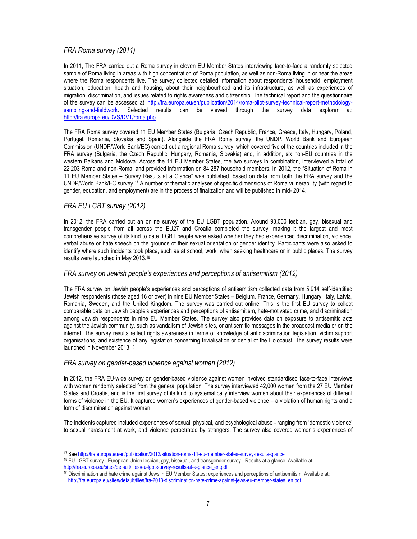### FRA Roma survey (2011)

In 2011, The FRA carried out a Roma survey in eleven EU Member States interviewing face-to-face a randomly selected sample of Roma living in areas with high concentration of Roma population, as well as non-Roma living in or near the areas where the Roma respondents live. The survey collected detailed information about respondents' household, employment situation, education, health and housing, about their neighbourhood and its infrastructure, as well as experiences of migration, discrimination, and issues related to rights awareness and citizenship. The technical report and the questionnaire of the survey can be accessed at: http://fra.europa.eu/en/publication/2014/roma-pilot-survey-technical-report-methodology-<br>sampling-and-fieldwork. Selected results can be viewed through the survey data explorer at: Selected results can be viewed through the survey data explorer at: http://fra.europa.eu/DVS/DVT/roma.php .

The FRA Roma survey covered 11 EU Member States (Bulgaria, Czech Republic, France, Greece, Italy, Hungary, Poland, Portugal, Romania, Slovakia and Spain). Alongside the FRA Roma survey, the UNDP, World Bank and European Commission (UNDP/World Bank/EC) carried out a regional Roma survey, which covered five of the countries included in the FRA survey (Bulgaria, the Czech Republic, Hungary, Romania, Slovakia) and, in addition, six non-EU countries in the western Balkans and Moldova. Across the 11 EU Member States, the two surveys in combination, interviewed a total of 22,203 Roma and non-Roma, and provided information on 84,287 household members. In 2012, the "Situation of Roma in 11 EU Member States – Survey Results at a Glance" was published, based on data from both the FRA survey and the UNDP/World Bank/EC survey.17 A number of thematic analyses of specific dimensions of Roma vulnerability (with regard to gender, education, and employment) are in the process of finalization and will be published in mid- 2014.

### FRA EU LGBT survey (2012)

 $\overline{a}$ 

In 2012, the FRA carried out an online survey of the EU LGBT population. Around 93,000 lesbian, gay, bisexual and transgender people from all across the EU27 and Croatia completed the survey, making it the largest and most comprehensive survey of its kind to date. LGBT people were asked whether they had experienced discrimination, violence, verbal abuse or hate speech on the grounds of their sexual orientation or gender identity. Participants were also asked to identify where such incidents took place, such as at school, work, when seeking healthcare or in public places. The survey results were launched in May 2013.<sup>18</sup>

#### FRA survey on Jewish people's experiences and perceptions of antisemitism (2012)

The FRA survey on Jewish people's experiences and perceptions of antisemitism collected data from 5,914 self-identified Jewish respondents (those aged 16 or over) in nine EU Member States – Belgium, France, Germany, Hungary, Italy, Latvia, Romania, Sweden, and the United Kingdom. The survey was carried out online. This is the first EU survey to collect comparable data on Jewish people's experiences and perceptions of antisemitism, hate-motivated crime, and discrimination among Jewish respondents in nine EU Member States. The survey also provides data on exposure to antisemitic acts against the Jewish community, such as vandalism of Jewish sites, or antisemitic messages in the broadcast media or on the internet. The survey results reflect rights awareness in terms of knowledge of antidiscrimination legislation, victim support organisations, and existence of any legislation concerning trivialisation or denial of the Holocaust. The survey results were launched in November 2013.<sup>19</sup>

#### FRA survey on gender-based violence against women (2012)

In 2012, the FRA EU-wide survey on gender-based violence against women involved standardised face-to-face interviews with women randomly selected from the general population. The survey interviewed 42,000 women from the 27 EU Member States and Croatia, and is the first survey of its kind to systematically interview women about their experiences of different forms of violence in the EU. It captured women's experiences of gender-based violence – a violation of human rights and a form of discrimination against women.

The incidents captured included experiences of sexual, physical, and psychological abuse - ranging from 'domestic violence' to sexual harassment at work, and violence perpetrated by strangers. The survey also covered women's experiences of

<sup>17</sup> See http://fra.europa.eu/en/publication/2012/situation-roma-11-eu-member-states-survey-results-glance <sup>18</sup> EU LGBT survey - European Union lesbian, gay, bisexual, and transgender survey - Results at a glance. Available at:

http://fra.europa.eu/sites/default/files/eu-lgbt-survey-results-at-a-glance\_en.pdf

<sup>19</sup> Discrimination and hate crime against Jews in EU Member States: experiences and perceptions of antisemitism. Available at: http://fra.europa.eu/sites/default/files/fra-2013-discrimination-hate-crime-against-jews-eu-member-states\_en.pdf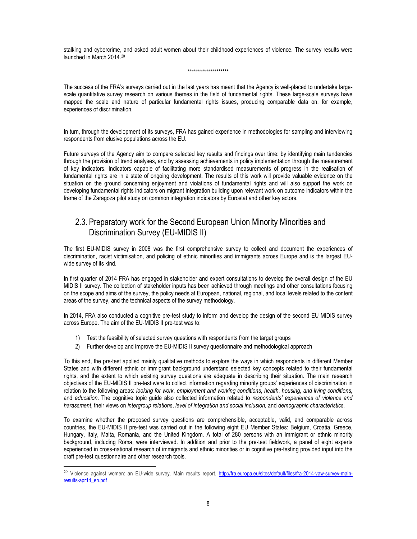stalking and cybercrime, and asked adult women about their childhood experiences of violence. The survey results were launched in March 2014.<sup>20</sup>

#### \*\*\*\*\*\*\*\*\*\*\*\*\*\*\*\*\*\*\*\*

The success of the FRA's surveys carried out in the last years has meant that the Agency is well-placed to undertake largescale quantitative survey research on various themes in the field of fundamental rights. These large-scale surveys have mapped the scale and nature of particular fundamental rights issues, producing comparable data on, for example, experiences of discrimination.

In turn, through the development of its surveys, FRA has gained experience in methodologies for sampling and interviewing respondents from elusive populations across the EU.

Future surveys of the Agency aim to compare selected key results and findings over time: by identifying main tendencies through the provision of trend analyses, and by assessing achievements in policy implementation through the measurement of key indicators. Indicators capable of facilitating more standardised measurements of progress in the realisation of fundamental rights are in a state of ongoing development. The results of this work will provide valuable evidence on the situation on the ground concerning enjoyment and violations of fundamental rights and will also support the work on developing fundamental rights indicators on migrant integration building upon relevant work on outcome indicators within the frame of the Zaragoza pilot study on common integration indicators by Eurostat and other key actors.

### 2.3. Preparatory work for the Second European Union Minority Minorities and Discrimination Survey (EU-MIDIS II)

The first EU-MIDIS survey in 2008 was the first comprehensive survey to collect and document the experiences of discrimination, racist victimisation, and policing of ethnic minorities and immigrants across Europe and is the largest EUwide survey of its kind.

In first quarter of 2014 FRA has engaged in stakeholder and expert consultations to develop the overall design of the EU MIDIS II survey. The collection of stakeholder inputs has been achieved through meetings and other consultations focusing on the scope and aims of the survey, the policy needs at European, national, regional, and local levels related to the content areas of the survey, and the technical aspects of the survey methodology.

In 2014, FRA also conducted a cognitive pre-test study to inform and develop the design of the second EU MIDIS survey across Europe. The aim of the EU-MIDIS II pre-test was to:

1) Test the feasibility of selected survey questions with respondents from the target groups

 $\overline{a}$ 

2) Further develop and improve the EU-MIDIS II survey questionnaire and methodological approach

To this end, the pre-test applied mainly qualitative methods to explore the ways in which respondents in different Member States and with different ethnic or immigrant background understand selected key concepts related to their fundamental rights, and the extent to which existing survey questions are adequate in describing their situation. The main research objectives of the EU-MIDIS II pre-test were to collect information regarding minority groups' experiences of discrimination in relation to the following areas: looking for work, employment and working conditions, health, housing, and living conditions, and education. The cognitive topic guide also collected information related to respondents' experiences of violence and harassment, their views on intergroup relations, level of integration and social inclusion, and demographic characteristics.

To examine whether the proposed survey questions are comprehensible, acceptable, valid, and comparable across countries, the EU-MIDIS II pre-test was carried out in the following eight EU Member States: Belgium, Croatia, Greece, Hungary, Italy, Malta, Romania, and the United Kingdom. A total of 280 persons with an immigrant or ethnic minority background, including Roma, were interviewed. In addition and prior to the pre-test fieldwork, a panel of eight experts experienced in cross-national research of immigrants and ethnic minorities or in cognitive pre-testing provided input into the draft pre-test questionnaire and other research tools.

<sup>&</sup>lt;sup>20</sup> Violence against women: an EU-wide survey. Main results report. http://fra.europa.eu/sites/default/files/fra-2014-vaw-survey-mainresults-apr14\_en.pdf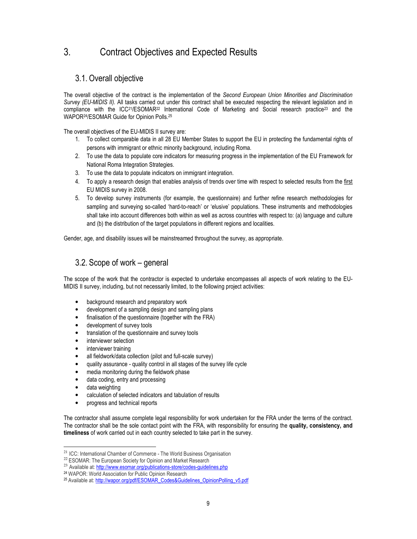## 3. Contract Objectives and Expected Results

### 3.1. Overall objective

The overall objective of the contract is the implementation of the Second European Union Minorities and Discrimination Survey (EU-MIDIS II). All tasks carried out under this contract shall be executed respecting the relevant legislation and in compliance with the ICC<sup>21</sup>/ESOMAR<sup>22</sup> International Code of Marketing and Social research practice<sup>23</sup> and the WAPOR24/ESOMAR Guide for Opinion Polls.<sup>25</sup>

The overall objectives of the EU-MIDIS II survey are:

- 1. To collect comparable data in all 28 EU Member States to support the EU in protecting the fundamental rights of persons with immigrant or ethnic minority background, including Roma.
- 2. To use the data to populate core indicators for measuring progress in the implementation of the EU Framework for National Roma Integration Strategies.
- 3. To use the data to populate indicators on immigrant integration.
- 4. To apply a research design that enables analysis of trends over time with respect to selected results from the first EU MIDIS survey in 2008.
- 5. To develop survey instruments (for example, the questionnaire) and further refine research methodologies for sampling and surveying so-called 'hard-to-reach' or 'elusive' populations. These instruments and methodologies shall take into account differences both within as well as across countries with respect to: (a) language and culture and (b) the distribution of the target populations in different regions and localities.

Gender, age, and disability issues will be mainstreamed throughout the survey, as appropriate.

### 3.2. Scope of work – general

The scope of the work that the contractor is expected to undertake encompasses all aspects of work relating to the EU-MIDIS II survey, including, but not necessarily limited, to the following project activities:

- background research and preparatory work
- development of a sampling design and sampling plans
- finalisation of the questionnaire (together with the FRA)
- development of survey tools
- translation of the questionnaire and survey tools
- interviewer selection
- interviewer training
- all fieldwork/data collection (pilot and full-scale survey)
- quality assurance quality control in all stages of the survey life cycle
- media monitoring during the fieldwork phase
- data coding, entry and processing
- data weighting

 $\overline{a}$ 

- calculation of selected indicators and tabulation of results
- progress and technical reports

The contractor shall assume complete legal responsibility for work undertaken for the FRA under the terms of the contract. The contractor shall be the sole contact point with the FRA, with responsibility for ensuring the quality, consistency, and timeliness of work carried out in each country selected to take part in the survey.

<sup>21</sup> ICC: International Chamber of Commerce - The World Business Organisation

<sup>&</sup>lt;sup>22</sup> ESOMAR: The European Society for Opinion and Market Research

<sup>&</sup>lt;sup>23</sup> Available at: http://www.esomar.org/publications-store/codes-guidelines.php

<sup>24</sup> WAPOR: World Association for Public Opinion Research

<sup>25</sup> Available at: http://wapor.org/pdf/ESOMAR\_Codes&Guidelines\_OpinionPolling\_v5.pdf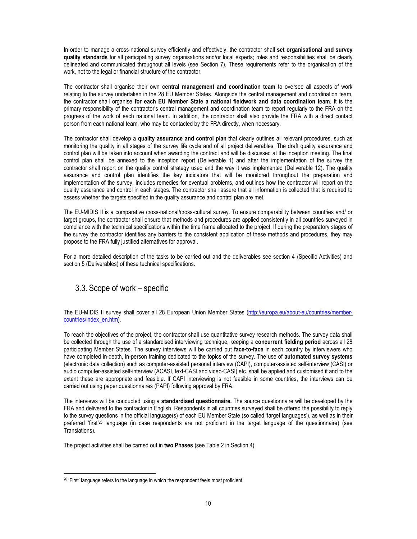In order to manage a cross-national survey efficiently and effectively, the contractor shall set organisational and survey quality standards for all participating survey organisations and/or local experts; roles and responsibilities shall be clearly delineated and communicated throughout all levels (see Section 7). These requirements refer to the organisation of the work, not to the legal or financial structure of the contractor.

The contractor shall organise their own central management and coordination team to oversee all aspects of work relating to the survey undertaken in the 28 EU Member States. Alongside the central management and coordination team, the contractor shall organise for each EU Member State a national fieldwork and data coordination team. It is the primary responsibility of the contractor's central management and coordination team to report regularly to the FRA on the progress of the work of each national team. In addition, the contractor shall also provide the FRA with a direct contact person from each national team, who may be contacted by the FRA directly, when necessary.

The contractor shall develop a quality assurance and control plan that clearly outlines all relevant procedures, such as monitoring the quality in all stages of the survey life cycle and of all project deliverables. The draft quality assurance and control plan will be taken into account when awarding the contract and will be discussed at the inception meeting. The final control plan shall be annexed to the inception report (Deliverable 1) and after the implementation of the survey the contractor shall report on the quality control strategy used and the way it was implemented (Deliverable 12). The quality assurance and control plan identifies the key indicators that will be monitored throughout the preparation and implementation of the survey, includes remedies for eventual problems, and outlines how the contractor will report on the quality assurance and control in each stages. The contractor shall assure that all information is collected that is required to assess whether the targets specified in the quality assurance and control plan are met.

The EU-MIDIS II is a comparative cross-national/cross-cultural survey. To ensure comparability between countries and/ or target groups, the contractor shall ensure that methods and procedures are applied consistently in all countries surveyed in compliance with the technical specifications within the time frame allocated to the project. If during the preparatory stages of the survey the contractor identifies any barriers to the consistent application of these methods and procedures, they may propose to the FRA fully justified alternatives for approval.

For a more detailed description of the tasks to be carried out and the deliverables see section 4 (Specific Activities) and section 5 (Deliverables) of these technical specifications.

### 3.3. Scope of work – specific

The EU-MIDIS II survey shall cover all 28 European Union Member States (http://europa.eu/about-eu/countries/membercountries/index\_en.htm).

To reach the objectives of the project, the contractor shall use quantitative survey research methods. The survey data shall be collected through the use of a standardised interviewing technique, keeping a concurrent fielding period across all 28 participating Member States. The survey interviews will be carried out face-to-face in each country by interviewers who have completed in-depth, in-person training dedicated to the topics of the survey. The use of automated survey systems (electronic data collection) such as computer-assisted personal interview (CAPI), computer-assisted self-interview (CASI) or audio computer-assisted self-interview (ACASI, text-CASI and video-CASI) etc. shall be applied and customised if and to the extent these are appropriate and feasible. If CAPI interviewing is not feasible in some countries, the interviews can be carried out using paper questionnaires (PAPI) following approval by FRA.

The interviews will be conducted using a standardised questionnaire. The source questionnaire will be developed by the FRA and delivered to the contractor in English. Respondents in all countries surveyed shall be offered the possibility to reply to the survey questions in the official language(s) of each EU Member State (so called 'target languages'), as well as in their preferred 'first'26 language (in case respondents are not proficient in the target language of the questionnaire) (see Translations).

The project activities shall be carried out in two Phases (see Table 2 in Section 4).

<sup>&</sup>lt;sup>26</sup> 'First' language refers to the language in which the respondent feels most proficient.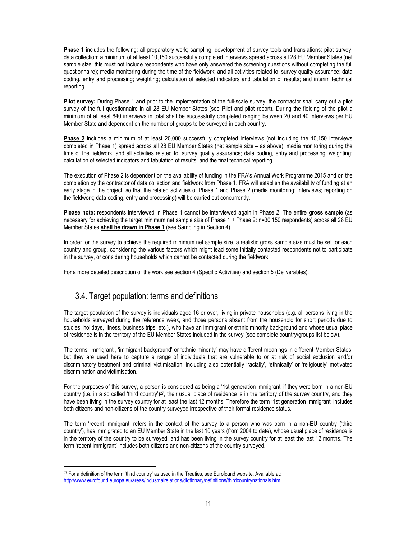Phase 1 includes the following: all preparatory work; sampling; development of survey tools and translations; pilot survey; data collection: a minimum of at least 10,150 successfully completed interviews spread across all 28 EU Member States (net sample size; this must not include respondents who have only answered the screening questions without completing the full questionnaire); media monitoring during the time of the fieldwork; and all activities related to: survey quality assurance; data coding, entry and processing; weighting; calculation of selected indicators and tabulation of results; and interim technical reporting.

Pilot survey: During Phase 1 and prior to the implementation of the full-scale survey, the contractor shall carry out a pilot survey of the full questionnaire in all 28 EU Member States (see Pilot and pilot report). During the fielding of the pilot a minimum of at least 840 interviews in total shall be successfully completed ranging between 20 and 40 interviews per EU Member State and dependent on the number of groups to be surveyed in each country.

Phase 2 includes a minimum of at least 20,000 successfully completed interviews (not including the 10,150 interviews completed in Phase 1) spread across all 28 EU Member States (net sample size – as above); media monitoring during the time of the fieldwork; and all activities related to: survey quality assurance; data coding, entry and processing; weighting; calculation of selected indicators and tabulation of results; and the final technical reporting.

The execution of Phase 2 is dependent on the availability of funding in the FRA's Annual Work Programme 2015 and on the completion by the contractor of data collection and fieldwork from Phase 1. FRA will establish the availability of funding at an early stage in the project, so that the related activities of Phase 1 and Phase 2 (media monitoring; interviews; reporting on the fieldwork; data coding, entry and processing) will be carried out concurrently.

Please note: respondents interviewed in Phase 1 cannot be interviewed again in Phase 2. The entire gross sample (as necessary for achieving the target minimum net sample size of Phase 1 + Phase 2: n=30,150 respondents) across all 28 EU Member States shall be drawn in Phase 1 (see Sampling in Section 4).

In order for the survey to achieve the required minimum net sample size, a realistic gross sample size must be set for each country and group, considering the various factors which might lead some initially contacted respondents not to participate in the survey, or considering households which cannot be contacted during the fieldwork.

For a more detailed description of the work see section 4 (Specific Activities) and section 5 (Deliverables).

### 3.4. Target population: terms and definitions

The target population of the survey is individuals aged 16 or over, living in private households (e.g. all persons living in the households surveyed during the reference week, and those persons absent from the household for short periods due to studies, holidays, illness, business trips, etc.), who have an immigrant or ethnic minority background and whose usual place of residence is in the territory of the EU Member States included in the survey (see complete country/groups list below).

The terms 'immigrant', 'immigrant background' or 'ethnic minority' may have different meanings in different Member States, but they are used here to capture a range of individuals that are vulnerable to or at risk of social exclusion and/or discriminatory treatment and criminal victimisation, including also potentially 'racially', 'ethnically' or 'religiously' motivated discrimination and victimisation.

For the purposes of this survey, a person is considered as being a '1st generation immigrant' if they were born in a non-EU country (i.e. in a so called 'third country') $27$ , their usual place of residence is in the territory of the survey country, and they have been living in the survey country for at least the last 12 months. Therefore the term '1st generation immigrant' includes both citizens and non-citizens of the country surveyed irrespective of their formal residence status.

The term 'recent immigrant' refers in the context of the survey to a person who was born in a non-EU country ('third country'), has immigrated to an EU Member State in the last 10 years (from 2004 to date), whose usual place of residence is in the territory of the country to be surveyed, and has been living in the survey country for at least the last 12 months. The term 'recent immigrant' includes both citizens and non-citizens of the country surveyed.

<sup>&</sup>lt;sup>27</sup> For a definition of the term 'third country' as used in the Treaties, see Eurofound website. Available at: http://www.eurofound.europa.eu/areas/industrialrelations/dictionary/definitions/thirdcountrynationals.htm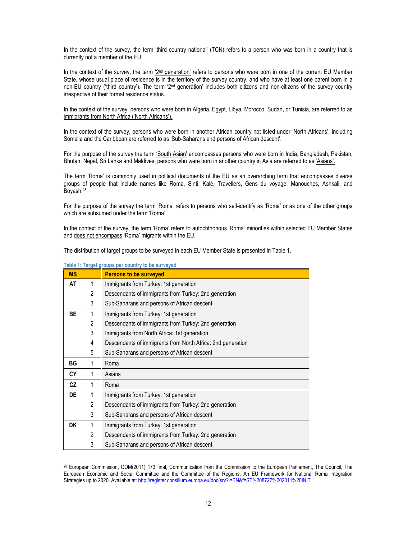In the context of the survey, the term 'third country national' (TCN) refers to a person who was born in a country that is currently not a member of the EU.

In the context of the survey, the term '2<sup>nd</sup> generation' refers to persons who were born in one of the current EU Member State, whose usual place of residence is in the territory of the survey country, and who have at least one parent born in a non-EU country ('third country'). The term '2<sup>nd</sup> generation' includes both citizens and non-citizens of the survey country irrespective of their formal residence status.

In the context of the survey, persons who were born in Algeria, Egypt, Libya, Morocco, Sudan, or Tunisia, are referred to as immigrants from North Africa ('North Africans').

In the context of the survey, persons who were born in another African country not listed under 'North Africans', including Somalia and the Caribbean are referred to as 'Sub-Saharans and persons of African descent'.

For the purpose of the survey the term 'South Asian' encompasses persons who were born in India, Bangladesh, Pakistan, Bhutan, Nepal, Sri Lanka and Maldives; persons who were born in another country in Asia are referred to as 'Asians'.

The term 'Roma' is commonly used in political documents of the EU as an overarching term that encompasses diverse groups of people that include names like Roma, Sinti, Kalé, Travellers, Gens du voyage, Manouches, Ashkali, and Boyash.<sup>28</sup>

For the purpose of the survey the term 'Roma' refers to persons who self-identify as 'Roma' or as one of the other groups which are subsumed under the term 'Roma'.

In the context of the survey, the term 'Roma' refers to autochthonous 'Roma' minorities within selected EU Member States and does not encompass 'Roma' migrants within the EU.

The distribution of target groups to be surveyed in each EU Member State is presented in Table 1.

| <b>MS</b> |   | <b>Persons to be surveyed</b>                               |
|-----------|---|-------------------------------------------------------------|
| AT        | 1 | Immigrants from Turkey: 1st generation                      |
|           | 2 | Descendants of immigrants from Turkey: 2nd generation       |
|           | 3 | Sub-Saharans and persons of African descent                 |
| BE        | 1 | Immigrants from Turkey: 1st generation                      |
|           | 2 | Descendants of immigrants from Turkey: 2nd generation       |
|           | 3 | Immigrants from North Africa: 1st generation                |
|           | 4 | Descendants of immigrants from North Africa: 2nd generation |
|           | 5 | Sub-Saharans and persons of African descent                 |
| ВG        | 1 | Roma                                                        |
| CY        | 1 | Asians                                                      |
| <b>CZ</b> | 1 | Roma                                                        |
| DE        | 1 | Immigrants from Turkey: 1st generation                      |
|           | 2 | Descendants of immigrants from Turkey: 2nd generation       |
|           | 3 | Sub-Saharans and persons of African descent                 |
| DK        | 1 | Immigrants from Turkey: 1st generation                      |
|           | 2 | Descendants of immigrants from Turkey: 2nd generation       |
|           | 3 | Sub-Saharans and persons of African descent                 |

#### Table 1: Target groups per country to be surveyed

<sup>28</sup> European Commission, COM(2011) 173 final, Communication from the Commission to the European Parliament, The Council, The European Economic and Social Committee and the Committee of the Regions, An EU Framework for National Roma Integration Strategies up to 2020. Available at: http://register.consilium.europa.eu/doc/srv?l=EN&f=ST%208727%202011%20INIT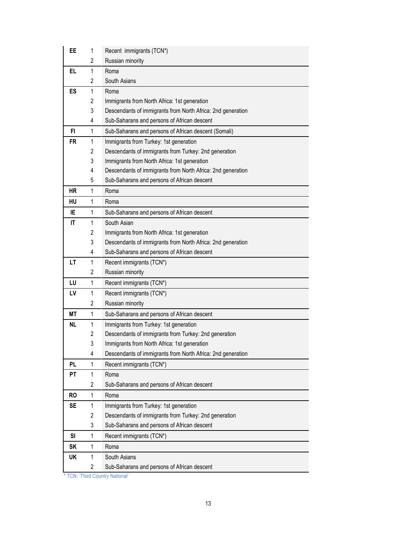| EE        | 1           | Recent immigrants (TCN*)                                    |
|-----------|-------------|-------------------------------------------------------------|
|           | 2           | Russian minority                                            |
| EL        | 1           | Roma                                                        |
|           | 2           | South Asians                                                |
| ES        | 1           | Roma                                                        |
|           | 2           | Immigrants from North Africa: 1st generation                |
|           | 3           | Descendants of immigrants from North Africa: 2nd generation |
|           | 4           | Sub-Saharans and persons of African descent                 |
| FI.       | 1           | Sub-Saharans and persons of African descent (Somali)        |
| <b>FR</b> | 1           | Immigrants from Turkey: 1st generation                      |
|           | 2           | Descendants of immigrants from Turkey: 2nd generation       |
|           | 3           | Immigrants from North Africa: 1st generation                |
|           | 4           | Descendants of immigrants from North Africa: 2nd generation |
|           | 5           | Sub-Saharans and persons of African descent                 |
| HR        | 1           | Roma                                                        |
| HU        | 1           | Roma                                                        |
| IE        | 1           | Sub-Saharans and persons of African descent                 |
| IT        | 1           | South Asian                                                 |
|           | 2           | Immigrants from North Africa: 1st generation                |
|           | 3           | Descendants of immigrants from North Africa: 2nd generation |
|           | 4           | Sub-Saharans and persons of African descent                 |
| LT        | 1           | Recent immigrants (TCN*)                                    |
|           | 2           | Russian minority                                            |
| LU        | 1           | Recent immigrants (TCN*)                                    |
| LV        | 1           | Recent immigrants (TCN*)                                    |
|           | 2           | Russian minority                                            |
| МT        | 1           | Sub-Saharans and persons of African descent                 |
| <b>NL</b> | 1           | Immigrants from Turkey: 1st generation                      |
|           | 2           | Descendants of immigrants from Turkey: 2nd generation       |
|           | 3           | Immigrants from North Africa: 1st generation                |
|           | 4           | Descendants of immigrants from North Africa: 2nd generation |
| PL        | 1           | Recent immigrants (TCN*)                                    |
| РT        | 1           | Roma                                                        |
|           | 2           | Sub-Saharans and persons of African descent                 |
| <b>RO</b> | 1           | Roma                                                        |
| SE        | 1           | Immigrants from Turkey: 1st generation                      |
|           | 2           | Descendants of immigrants from Turkey: 2nd generation       |
|           | 3           | Sub-Saharans and persons of African descent                 |
| SI        | 1           | Recent immigrants (TCN*)                                    |
| SK        | $\mathbf 1$ | Roma                                                        |
| UK        | 1           | South Asians                                                |
|           | 2           | Sub-Saharans and persons of African descent                 |
|           |             |                                                             |

\* TCN: 'Third Country National'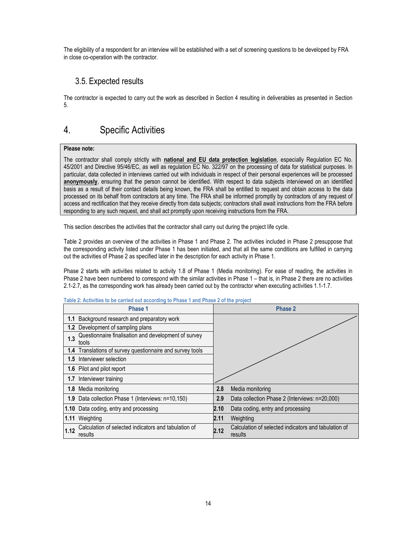The eligibility of a respondent for an interview will be established with a set of screening questions to be developed by FRA in close co-operation with the contractor.

### 3.5. Expected results

The contractor is expected to carry out the work as described in Section 4 resulting in deliverables as presented in Section 5.

## 4. Specific Activities

#### Please note:

The contractor shall comply strictly with **national and EU data protection legislation**, especially Regulation EC No. 45/2001 and Directive 95/46/EC, as well as regulation EC No. 322/97 on the processing of data for statistical purposes. In particular, data collected in interviews carried out with individuals in respect of their personal experiences will be processed anonymously, ensuring that the person cannot be identified. With respect to data subjects interviewed on an identified basis as a result of their contact details being known, the FRA shall be entitled to request and obtain access to the data processed on its behalf from contractors at any time. The FRA shall be informed promptly by contractors of any request of access and rectification that they receive directly from data subjects; contractors shall await instructions from the FRA before responding to any such request, and shall act promptly upon receiving instructions from the FRA.

This section describes the activities that the contractor shall carry out during the project life cycle.

Table 2 provides an overview of the activities in Phase 1 and Phase 2. The activities included in Phase 2 presuppose that the corresponding activity listed under Phase 1 has been initiated, and that all the same conditions are fulfilled in carrying out the activities of Phase 2 as specified later in the description for each activity in Phase 1.

Phase 2 starts with activities related to activity 1.8 of Phase 1 (Media monitoring). For ease of reading, the activities in Phase 2 have been numbered to correspond with the similar activities in Phase 1 – that is, in Phase 2 there are no activities 2.1-2.7, as the corresponding work has already been carried out by the contractor when executing activities 1.1-1.7.

|      | Phase 1                                                         |      | <b>Phase 2</b>                                                  |
|------|-----------------------------------------------------------------|------|-----------------------------------------------------------------|
|      | 1.1 Background research and preparatory work                    |      |                                                                 |
|      | <b>1.2</b> Development of sampling plans                        |      |                                                                 |
| 1.3  | Questionnaire finalisation and development of survey<br>tools   |      |                                                                 |
|      | 1.4 Translations of survey questionnaire and survey tools       |      |                                                                 |
|      | 1.5 Interviewer selection                                       |      |                                                                 |
|      | 1.6 Pilot and pilot report                                      |      |                                                                 |
|      | 1.7 Interviewer training                                        |      |                                                                 |
| 1.8  | Media monitoring                                                | 2.8  | Media monitoring                                                |
|      | 1.9 Data collection Phase 1 (Interviews: n=10,150)              | 2.9  | Data collection Phase 2 (Interviews: n=20,000)                  |
|      | 1.10 Data coding, entry and processing                          | 2.10 | Data coding, entry and processing                               |
|      | 1.11 Weighting                                                  | 2.11 | Weighting                                                       |
| 1.12 | Calculation of selected indicators and tabulation of<br>results | 2.12 | Calculation of selected indicators and tabulation of<br>results |

#### Table 2: Activities to be carried out according to Phase 1 and Phase 2 of the project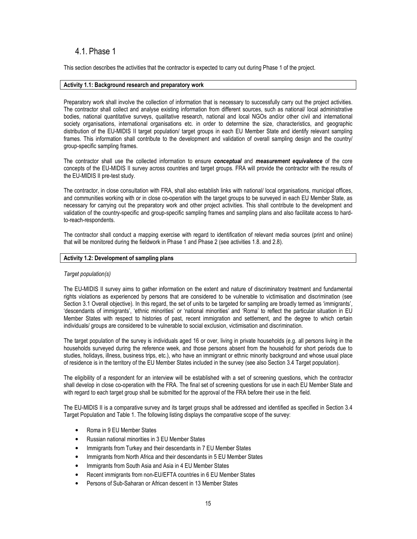### 4.1. Phase 1

This section describes the activities that the contractor is expected to carry out during Phase 1 of the project.

#### Activity 1.1: Background research and preparatory work

Preparatory work shall involve the collection of information that is necessary to successfully carry out the project activities. The contractor shall collect and analyse existing information from different sources, such as national/ local administrative bodies, national quantitative surveys, qualitative research, national and local NGOs and/or other civil and international society organisations, international organisations etc. in order to determine the size, characteristics, and geographic distribution of the EU-MIDIS II target population/ target groups in each EU Member State and identify relevant sampling frames. This information shall contribute to the development and validation of overall sampling design and the country/ group-specific sampling frames.

The contractor shall use the collected information to ensure conceptual and measurement equivalence of the core concepts of the EU-MIDIS II survey across countries and target groups. FRA will provide the contractor with the results of the EU-MIDIS II pre-test study.

The contractor, in close consultation with FRA, shall also establish links with national/ local organisations, municipal offices, and communities working with or in close co-operation with the target groups to be surveyed in each EU Member State, as necessary for carrying out the preparatory work and other project activities. This shall contribute to the development and validation of the country-specific and group-specific sampling frames and sampling plans and also facilitate access to hardto-reach-respondents.

The contractor shall conduct a mapping exercise with regard to identification of relevant media sources (print and online) that will be monitored during the fieldwork in Phase 1 and Phase 2 (see activities 1.8. and 2.8).

#### Activity 1.2: Development of sampling plans

#### Target population(s)

The EU-MIDIS II survey aims to gather information on the extent and nature of discriminatory treatment and fundamental rights violations as experienced by persons that are considered to be vulnerable to victimisation and discrimination (see Section 3.1 Overall objective). In this regard, the set of units to be targeted for sampling are broadly termed as 'immigrants', 'descendants of immigrants', 'ethnic minorities' or 'national minorities' and 'Roma' to reflect the particular situation in EU Member States with respect to histories of past, recent immigration and settlement, and the degree to which certain individuals/ groups are considered to be vulnerable to social exclusion, victimisation and discrimination.

The target population of the survey is individuals aged 16 or over, living in private households (e.g. all persons living in the households surveyed during the reference week, and those persons absent from the household for short periods due to studies, holidays, illness, business trips, etc.), who have an immigrant or ethnic minority background and whose usual place of residence is in the territory of the EU Member States included in the survey (see also Section 3.4 Target population).

The eligibility of a respondent for an interview will be established with a set of screening questions, which the contractor shall develop in close co-operation with the FRA. The final set of screening questions for use in each EU Member State and with regard to each target group shall be submitted for the approval of the FRA before their use in the field.

The EU-MIDIS II is a comparative survey and its target groups shall be addressed and identified as specified in Section 3.4 Target Population and Table 1. The following listing displays the comparative scope of the survey:

- Roma in 9 EU Member States
- Russian national minorities in 3 EU Member States
- Immigrants from Turkey and their descendants in 7 EU Member States
- Immigrants from North Africa and their descendants in 5 EU Member States
- Immigrants from South Asia and Asia in 4 EU Member States
- Recent immigrants from non-EU/EFTA countries in 6 EU Member States
- Persons of Sub-Saharan or African descent in 13 Member States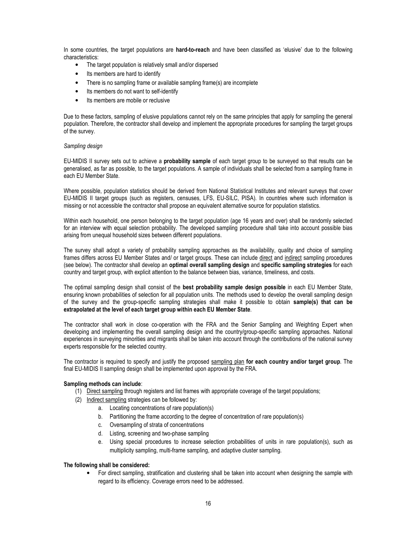In some countries, the target populations are hard-to-reach and have been classified as 'elusive' due to the following characteristics:

- The target population is relatively small and/or dispersed
- Its members are hard to identify
- There is no sampling frame or available sampling frame(s) are incomplete
- Its members do not want to self-identify
- Its members are mobile or reclusive

Due to these factors, sampling of elusive populations cannot rely on the same principles that apply for sampling the general population. Therefore, the contractor shall develop and implement the appropriate procedures for sampling the target groups of the survey.

#### Sampling design

EU-MIDIS II survey sets out to achieve a probability sample of each target group to be surveyed so that results can be generalised, as far as possible, to the target populations. A sample of individuals shall be selected from a sampling frame in each EU Member State.

Where possible, population statistics should be derived from National Statistical Institutes and relevant surveys that cover EU-MIDIS II target groups (such as registers, censuses, LFS, EU-SILC, PISA). In countries where such information is missing or not accessible the contractor shall propose an equivalent alternative source for population statistics.

Within each household, one person belonging to the target population (age 16 years and over) shall be randomly selected for an interview with equal selection probability. The developed sampling procedure shall take into account possible bias arising from unequal household sizes between different populations.

The survey shall adopt a variety of probability sampling approaches as the availability, quality and choice of sampling frames differs across EU Member States and/ or target groups. These can include direct and indirect sampling procedures (see below). The contractor shall develop an optimal overall sampling design and specific sampling strategies for each country and target group, with explicit attention to the balance between bias, variance, timeliness, and costs.

The optimal sampling design shall consist of the best probability sample design possible in each EU Member State, ensuring known probabilities of selection for all population units. The methods used to develop the overall sampling design of the survey and the group-specific sampling strategies shall make it possible to obtain sample(s) that can be extrapolated at the level of each target group within each EU Member State.

The contractor shall work in close co-operation with the FRA and the Senior Sampling and Weighting Expert when developing and implementing the overall sampling design and the country/group-specific sampling approaches. National experiences in surveying minorities and migrants shall be taken into account through the contributions of the national survey experts responsible for the selected country.

The contractor is required to specify and justify the proposed sampling plan for each country and/or target group. The final EU-MIDIS II sampling design shall be implemented upon approval by the FRA.

#### Sampling methods can include:

- (1) Direct sampling through registers and list frames with appropriate coverage of the target populations;
- (2) Indirect sampling strategies can be followed by:
	- a. Locating concentrations of rare population(s)
	- b. Partitioning the frame according to the degree of concentration of rare population(s)
	- c. Oversampling of strata of concentrations
	- d. Listing, screening and two-phase sampling
	- e. Using special procedures to increase selection probabilities of units in rare population(s), such as multiplicity sampling, multi-frame sampling, and adaptive cluster sampling.

#### The following shall be considered:

• For direct sampling, stratification and clustering shall be taken into account when designing the sample with regard to its efficiency. Coverage errors need to be addressed.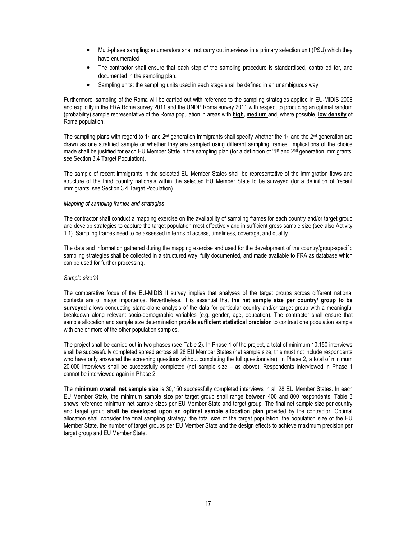- Multi-phase sampling: enumerators shall not carry out interviews in a primary selection unit (PSU) which they have enumerated
- The contractor shall ensure that each step of the sampling procedure is standardised, controlled for, and documented in the sampling plan.
- Sampling units: the sampling units used in each stage shall be defined in an unambiguous way.

Furthermore, sampling of the Roma will be carried out with reference to the sampling strategies applied in EU-MIDIS 2008 and explicitly in the FRA Roma survey 2011 and the UNDP Roma survey 2011 with respect to producing an optimal random (probability) sample representative of the Roma population in areas with high, medium and, where possible, low density of Roma population.

The sampling plans with regard to 1<sup>st</sup> and  $2^{nd}$  generation immigrants shall specify whether the 1<sup>st</sup> and the  $2^{nd}$  generation are drawn as one stratified sample or whether they are sampled using different sampling frames. Implications of the choice made shall be justified for each EU Member State in the sampling plan (for a definition of '1<sup>st</sup> and 2<sup>nd</sup> generation immigrants' see Section 3.4 Target Population).

The sample of recent immigrants in the selected EU Member States shall be representative of the immigration flows and structure of the third country nationals within the selected EU Member State to be surveyed (for a definition of 'recent immigrants' see Section 3.4 Target Population).

#### Mapping of sampling frames and strategies

The contractor shall conduct a mapping exercise on the availability of sampling frames for each country and/or target group and develop strategies to capture the target population most effectively and in sufficient gross sample size (see also Activity 1.1). Sampling frames need to be assessed in terms of access, timeliness, coverage, and quality.

The data and information gathered during the mapping exercise and used for the development of the country/group-specific sampling strategies shall be collected in a structured way, fully documented, and made available to FRA as database which can be used for further processing.

#### Sample size(s)

The comparative focus of the EU-MIDIS II survey implies that analyses of the target groups across different national contexts are of major importance. Nevertheless, it is essential that the net sample size per country/ group to be surveyed allows conducting stand-alone analysis of the data for particular country and/or target group with a meaningful breakdown along relevant socio-demographic variables (e.g. gender, age, education). The contractor shall ensure that sample allocation and sample size determination provide sufficient statistical precision to contrast one population sample with one or more of the other population samples.

The project shall be carried out in two phases (see Table 2). In Phase 1 of the project, a total of minimum 10,150 interviews shall be successfully completed spread across all 28 EU Member States (net sample size; this must not include respondents who have only answered the screening questions without completing the full questionnaire). In Phase 2, a total of minimum 20,000 interviews shall be successfully completed (net sample size – as above). Respondents interviewed in Phase 1 cannot be interviewed again in Phase 2.

The minimum overall net sample size is 30,150 successfully completed interviews in all 28 EU Member States. In each EU Member State, the minimum sample size per target group shall range between 400 and 800 respondents. Table 3 shows reference minimum net sample sizes per EU Member State and target group. The final net sample size per country and target group shall be developed upon an optimal sample allocation plan provided by the contractor. Optimal allocation shall consider the final sampling strategy, the total size of the target population, the population size of the EU Member State, the number of target groups per EU Member State and the design effects to achieve maximum precision per target group and EU Member State.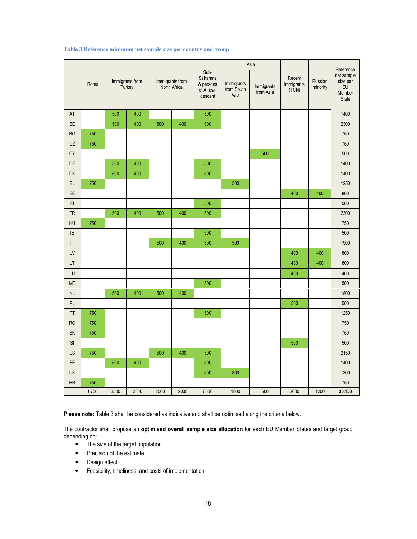| Table 3 Reference minimum net sample size per country and group |  |  |
|-----------------------------------------------------------------|--|--|
|-----------------------------------------------------------------|--|--|

|           | Roma |      | Immigrants from<br>Turkey |      | Immigrants from<br>North Africa | Sub-<br>Saharans<br>& persons<br>of African<br>descent | Immigrants<br>from South<br>Asia | Asia<br>Immigrants<br>from Asia | Recent<br>immigrants<br>$(T\tilde{C}N)$ | Russian<br>minority | Reference<br>net sample<br>size per<br>EU<br>Member<br><b>State</b> |  |
|-----------|------|------|---------------------------|------|---------------------------------|--------------------------------------------------------|----------------------------------|---------------------------------|-----------------------------------------|---------------------|---------------------------------------------------------------------|--|
| AT        |      | 500  | 400                       |      |                                 | 500                                                    |                                  |                                 |                                         |                     | 1400                                                                |  |
| BE        |      | 500  | 400                       | 500  | 400                             | 500                                                    |                                  |                                 |                                         |                     | 2300                                                                |  |
| <b>BG</b> | 750  |      |                           |      |                                 |                                                        |                                  |                                 |                                         |                     | 750                                                                 |  |
| CZ        | 750  |      |                           |      |                                 |                                                        |                                  |                                 |                                         |                     | 750                                                                 |  |
| <b>CY</b> |      |      |                           |      |                                 |                                                        |                                  | 500                             |                                         |                     | 500                                                                 |  |
| DE        |      | 500  | 400                       |      |                                 | 500                                                    |                                  |                                 |                                         |                     | 1400                                                                |  |
| DK        |      | 500  | 400                       |      |                                 | 500                                                    |                                  |                                 |                                         |                     | 1400                                                                |  |
| EL        | 750  |      |                           |      |                                 |                                                        | 500                              |                                 |                                         |                     | 1250                                                                |  |
| EE        |      |      |                           |      |                                 |                                                        |                                  |                                 | 400                                     | 400                 | 800                                                                 |  |
| FI        |      |      |                           |      |                                 | 500                                                    |                                  |                                 |                                         |                     | 500                                                                 |  |
| <b>FR</b> |      | 500  | 400                       | 500  | 400                             |                                                        |                                  |                                 |                                         |                     | 2300                                                                |  |
| HU        | 750  |      |                           |      |                                 |                                                        |                                  |                                 |                                         |                     | 750                                                                 |  |
| IE        |      |      |                           |      |                                 | 500                                                    |                                  |                                 |                                         |                     | 500                                                                 |  |
| IT        |      |      |                           | 500  | 400                             | 500                                                    | 500                              |                                 |                                         |                     | 1900                                                                |  |
| LV        |      |      |                           |      |                                 |                                                        |                                  |                                 | 400                                     | 400                 | 800                                                                 |  |
| LT        |      |      |                           |      |                                 |                                                        |                                  |                                 | 400                                     | 400                 | 800                                                                 |  |
| LU        |      |      |                           |      |                                 |                                                        |                                  |                                 | 400                                     |                     | 400                                                                 |  |
| MT        |      |      |                           |      |                                 | 500                                                    |                                  |                                 |                                         |                     | 500                                                                 |  |
| <b>NL</b> |      | 500  | 400                       | 500  | 400                             |                                                        |                                  |                                 |                                         |                     | 1800                                                                |  |
| PL        |      |      |                           |      |                                 |                                                        |                                  |                                 | 500                                     |                     | 500                                                                 |  |
| PT        | 750  |      |                           |      |                                 | 500                                                    |                                  |                                 |                                         |                     | 1250                                                                |  |
| <b>RO</b> | 750  |      |                           |      |                                 |                                                        |                                  |                                 |                                         |                     | 750                                                                 |  |
| SK        | 750  |      |                           |      |                                 |                                                        |                                  |                                 |                                         |                     | 750                                                                 |  |
| SI        |      |      |                           |      |                                 |                                                        |                                  |                                 | 500                                     |                     | 500                                                                 |  |
| ES        | 750  |      |                           | 500  | 400                             | 500                                                    |                                  |                                 |                                         |                     | 2150                                                                |  |
| <b>SE</b> |      | 500  | 400                       |      |                                 | 500                                                    |                                  |                                 |                                         |                     | 1400                                                                |  |
| <b>UK</b> |      |      |                           |      |                                 | 500                                                    | 800                              |                                 |                                         |                     | 1300                                                                |  |
| HR        | 750  |      |                           |      |                                 |                                                        |                                  |                                 |                                         |                     | 750                                                                 |  |
|           | 6750 | 3500 | 2800                      | 2500 | 2000                            | 6500                                                   | 1800                             | 500                             | 2600                                    | 1200                | 30,150                                                              |  |

Please note: Table 3 shall be considered as indicative and shall be optimised along the criteria below.

The contractor shall propose an optimised overall sample size allocation for each EU Member States and target group depending on:

- The size of the target population
- Precision of the estimate
- Design effect
- Feasibility, timeliness, and costs of implementation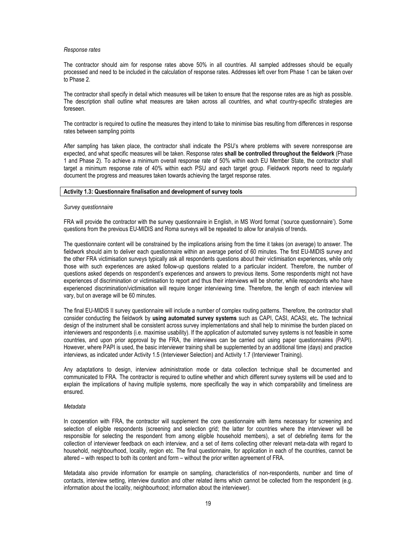#### Response rates

The contractor should aim for response rates above 50% in all countries. All sampled addresses should be equally processed and need to be included in the calculation of response rates. Addresses left over from Phase 1 can be taken over to Phase 2.

The contractor shall specify in detail which measures will be taken to ensure that the response rates are as high as possible. The description shall outline what measures are taken across all countries, and what country-specific strategies are foreseen.

The contractor is required to outline the measures they intend to take to minimise bias resulting from differences in response rates between sampling points

After sampling has taken place, the contractor shall indicate the PSU's where problems with severe nonresponse are expected, and what specific measures will be taken. Response rates shall be controlled throughout the fieldwork (Phase 1 and Phase 2). To achieve a minimum overall response rate of 50% within each EU Member State, the contractor shall target a minimum response rate of 40% within each PSU and each target group. Fieldwork reports need to regularly document the progress and measures taken towards achieving the target response rates.

#### Activity 1.3: Questionnaire finalisation and development of survey tools

#### Survey questionnaire

FRA will provide the contractor with the survey questionnaire in English, in MS Word format ('source questionnaire'). Some questions from the previous EU-MIDIS and Roma surveys will be repeated to allow for analysis of trends.

The questionnaire content will be constrained by the implications arising from the time it takes (on average) to answer. The fieldwork should aim to deliver each questionnaire within an average period of 60 minutes. The first EU-MIDIS survey and the other FRA victimisation surveys typically ask all respondents questions about their victimisation experiences, while only those with such experiences are asked follow-up questions related to a particular incident. Therefore, the number of questions asked depends on respondent's experiences and answers to previous items. Some respondents might not have experiences of discrimination or victimisation to report and thus their interviews will be shorter, while respondents who have experienced discrimination/victimisation will require longer interviewing time. Therefore, the length of each interview will vary, but on average will be 60 minutes.

The final EU-MIDIS II survey questionnaire will include a number of complex routing patterns. Therefore, the contractor shall consider conducting the fieldwork by using automated survey systems such as CAPI, CASI, ACASI, etc. The technical design of the instrument shall be consistent across survey implementations and shall help to minimise the burden placed on interviewers and respondents (i.e. maximise usability). If the application of automated survey systems is not feasible in some countries, and upon prior approval by the FRA, the interviews can be carried out using paper questionnaires (PAPI). However, where PAPI is used, the basic interviewer training shall be supplemented by an additional time (days) and practice interviews, as indicated under Activity 1.5 (Interviewer Selection) and Activity 1.7 (Interviewer Training).

Any adaptations to design, interview administration mode or data collection technique shall be documented and communicated to FRA. The contractor is required to outline whether and which different survey systems will be used and to explain the implications of having multiple systems, more specifically the way in which comparability and timeliness are ensured.

#### Metadata

In cooperation with FRA, the contractor will supplement the core questionnaire with items necessary for screening and selection of eligible respondents (screening and selection grid; the latter for countries where the interviewer will be responsible for selecting the respondent from among eligible household members), a set of debriefing items for the collection of interviewer feedback on each interview, and a set of items collecting other relevant meta-data with regard to household, neighbourhood, locality, region etc. The final questionnaire, for application in each of the countries, cannot be altered – with respect to both its content and form – without the prior written agreement of FRA.

Metadata also provide information for example on sampling, characteristics of non-respondents, number and time of contacts, interview setting, interview duration and other related items which cannot be collected from the respondent (e.g. information about the locality, neighbourhood; information about the interviewer).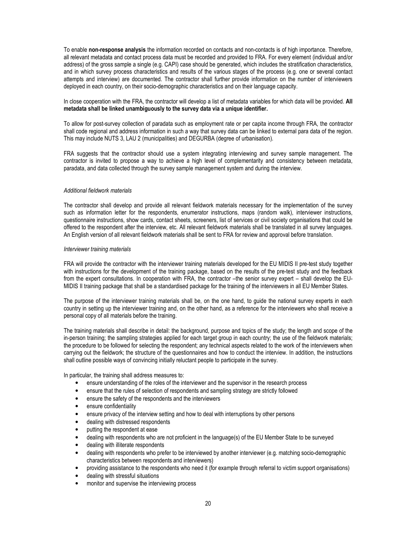To enable non-response analysis the information recorded on contacts and non-contacts is of high importance. Therefore, all relevant metadata and contact process data must be recorded and provided to FRA. For every element (individual and/or address) of the gross sample a single (e.g. CAPI) case should be generated, which includes the stratification characteristics, and in which survey process characteristics and results of the various stages of the process (e.g. one or several contact attempts and interview) are documented. The contractor shall further provide information on the number of interviewers deployed in each country, on their socio-demographic characteristics and on their language capacity.

#### In close cooperation with the FRA, the contractor will develop a list of metadata variables for which data will be provided. All metadata shall be linked unambiguously to the survey data via a unique identifier.

To allow for post-survey collection of paradata such as employment rate or per capita income through FRA, the contractor shall code regional and address information in such a way that survey data can be linked to external para data of the region. This may include NUTS 3, LAU 2 (municipalities) and DEGURBA (degree of urbanisation).

FRA suggests that the contractor should use a system integrating interviewing and survey sample management. The contractor is invited to propose a way to achieve a high level of complementarity and consistency between metadata, paradata, and data collected through the survey sample management system and during the interview.

#### Additional fieldwork materials

The contractor shall develop and provide all relevant fieldwork materials necessary for the implementation of the survey such as information letter for the respondents, enumerator instructions, maps (random walk), interviewer instructions, questionnaire instructions, show cards, contact sheets, screeners, list of services or civil society organisations that could be offered to the respondent after the interview, etc. All relevant fieldwork materials shall be translated in all survey languages. An English version of all relevant fieldwork materials shall be sent to FRA for review and approval before translation.

#### Interviewer training materials

FRA will provide the contractor with the interviewer training materials developed for the EU MIDIS II pre-test study together with instructions for the development of the training package, based on the results of the pre-test study and the feedback from the expert consultations. In cooperation with FRA, the contractor –the senior survey expert – shall develop the EU-MIDIS II training package that shall be a standardised package for the training of the interviewers in all EU Member States.

The purpose of the interviewer training materials shall be, on the one hand, to guide the national survey experts in each country in setting up the interviewer training and, on the other hand, as a reference for the interviewers who shall receive a personal copy of all materials before the training.

The training materials shall describe in detail: the background, purpose and topics of the study; the length and scope of the in-person training; the sampling strategies applied for each target group in each country; the use of the fieldwork materials; the procedure to be followed for selecting the respondent; any technical aspects related to the work of the interviewers when carrying out the fieldwork; the structure of the questionnaires and how to conduct the interview. In addition, the instructions shall outline possible ways of convincing initially reluctant people to participate in the survey.

In particular, the training shall address measures to:

- ensure understanding of the roles of the interviewer and the supervisor in the research process
- ensure that the rules of selection of respondents and sampling strategy are strictly followed
- ensure the safety of the respondents and the interviewers
- ensure confidentiality
- ensure privacy of the interview setting and how to deal with interruptions by other persons
- dealing with distressed respondents
- putting the respondent at ease
- dealing with respondents who are not proficient in the language(s) of the EU Member State to be surveyed
- dealing with illiterate respondents
- dealing with respondents who prefer to be interviewed by another interviewer (e.g. matching socio-demographic characteristics between respondents and interviewers)
- providing assistance to the respondents who need it (for example through referral to victim support organisations)
- dealing with stressful situations
- monitor and supervise the interviewing process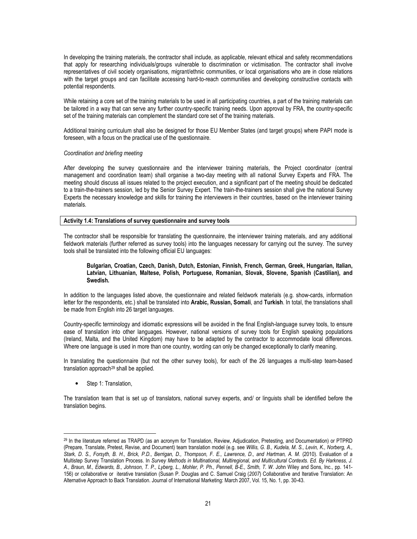In developing the training materials, the contractor shall include, as applicable, relevant ethical and safety recommendations that apply for researching individuals/groups vulnerable to discrimination or victimisation. The contractor shall involve representatives of civil society organisations, migrant/ethnic communities, or local organisations who are in close relations with the target groups and can facilitate accessing hard-to-reach communities and developing constructive contacts with potential respondents.

While retaining a core set of the training materials to be used in all participating countries, a part of the training materials can be tailored in a way that can serve any further country-specific training needs. Upon approval by FRA, the country-specific set of the training materials can complement the standard core set of the training materials.

Additional training curriculum shall also be designed for those EU Member States (and target groups) where PAPI mode is foreseen, with a focus on the practical use of the questionnaire.

#### Coordination and briefing meeting

After developing the survey questionnaire and the interviewer training materials, the Project coordinator (central management and coordination team) shall organise a two-day meeting with all national Survey Experts and FRA. The meeting should discuss all issues related to the project execution, and a significant part of the meeting should be dedicated to a train-the-trainers session, led by the Senior Survey Expert. The train-the-trainers session shall give the national Survey Experts the necessary knowledge and skills for training the interviewers in their countries, based on the interviewer training materials.

#### Activity 1.4: Translations of survey questionnaire and survey tools

The contractor shall be responsible for translating the questionnaire, the interviewer training materials, and any additional fieldwork materials (further referred as survey tools) into the languages necessary for carrying out the survey. The survey tools shall be translated into the following official EU languages:

#### Bulgarian, Croatian, Czech, Danish, Dutch, Estonian, Finnish, French, German, Greek, Hungarian, Italian, Latvian, Lithuanian, Maltese, Polish, Portuguese, Romanian, Slovak, Slovene, Spanish (Castilian), and Swedish.

In addition to the languages listed above, the questionnaire and related fieldwork materials (e.g. show-cards, information letter for the respondents, etc.) shall be translated into Arabic, Russian, Somali, and Turkish. In total, the translations shall be made from English into 26 target languages.

Country-specific terminology and idiomatic expressions will be avoided in the final English-language survey tools, to ensure ease of translation into other languages. However, national versions of survey tools for English speaking populations (Ireland, Malta, and the United Kingdom) may have to be adapted by the contractor to accommodate local differences. Where one language is used in more than one country, wording can only be changed exceptionally to clarify meaning.

In translating the questionnaire (but not the other survey tools), for each of the 26 languages a multi-step team-based translation approach<sup>29</sup> shall be applied.

• Step 1: Translation,

 $\overline{a}$ 

The translation team that is set up of translators, national survey experts, and/ or linguists shall be identified before the translation begins.

<sup>29</sup> In the literature referred as TRAPD (as an acronym for Translation, Review, Adjudication, Pretesting, and Documentation) or PTPRD (Prepare, Translate, Pretest, Revise, and Document) team translation model (e.g. see Willis, G. B., Kudela, M. S., Levin, K., Norberg, A., Stark, D. S., Forsyth, B. H., Brick, P.D., Berrigan, D., Thompson, F. E., Lawrence, D., and Hartman, A. M. (2010). Evaluation of a Multistep Survey Translation Process. In Survey Methods in Multinational, Multiregional, and Multicultural Contexts. Ed. By Harkness, J. A., Braun, M., Edwards, B., Johnson, T. P., Lyberg, L., Mohler, P. Ph., Pennell, B-E., Smith, T. W. John Wiley and Sons, Inc., pp. 141- 156) or collaborative or iterative translation (Susan P. Douglas and C. Samuel Craig (2007) Collaborative and Iterative Translation: An Alternative Approach to Back Translation. Journal of International Marketing: March 2007, Vol. 15, No. 1, pp. 30-43.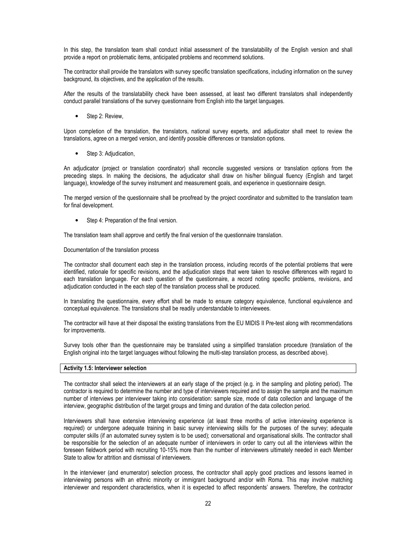In this step, the translation team shall conduct initial assessment of the translatability of the English version and shall provide a report on problematic items, anticipated problems and recommend solutions.

The contractor shall provide the translators with survey specific translation specifications, including information on the survey background, its objectives, and the application of the results.

After the results of the translatability check have been assessed, at least two different translators shall independently conduct parallel translations of the survey questionnaire from English into the target languages.

• Step 2: Review,

Upon completion of the translation, the translators, national survey experts, and adjudicator shall meet to review the translations, agree on a merged version, and identify possible differences or translation options.

• Step 3: Adjudication,

An adjudicator (project or translation coordinator) shall reconcile suggested versions or translation options from the preceding steps. In making the decisions, the adjudicator shall draw on his/her bilingual fluency (English and target language), knowledge of the survey instrument and measurement goals, and experience in questionnaire design.

The merged version of the questionnaire shall be proofread by the project coordinator and submitted to the translation team for final development.

• Step 4: Preparation of the final version.

The translation team shall approve and certify the final version of the questionnaire translation.

Documentation of the translation process

The contractor shall document each step in the translation process, including records of the potential problems that were identified, rationale for specific revisions, and the adjudication steps that were taken to resolve differences with regard to each translation language. For each question of the questionnaire, a record noting specific problems, revisions, and adjudication conducted in the each step of the translation process shall be produced.

In translating the questionnaire, every effort shall be made to ensure category equivalence, functional equivalence and conceptual equivalence. The translations shall be readily understandable to interviewees.

The contractor will have at their disposal the existing translations from the EU MIDIS II Pre-test along with recommendations for improvements.

Survey tools other than the questionnaire may be translated using a simplified translation procedure (translation of the English original into the target languages without following the multi-step translation process, as described above).

#### Activity 1.5: Interviewer selection

The contractor shall select the interviewers at an early stage of the project (e.g. in the sampling and piloting period). The contractor is required to determine the number and type of interviewers required and to assign the sample and the maximum number of interviews per interviewer taking into consideration: sample size, mode of data collection and language of the interview, geographic distribution of the target groups and timing and duration of the data collection period.

Interviewers shall have extensive interviewing experience (at least three months of active interviewing experience is required) or undergone adequate training in basic survey interviewing skills for the purposes of the survey; adequate computer skills (if an automated survey system is to be used); conversational and organisational skills. The contractor shall be responsible for the selection of an adequate number of interviewers in order to carry out all the interviews within the foreseen fieldwork period with recruiting 10-15% more than the number of interviewers ultimately needed in each Member State to allow for attrition and dismissal of interviewers.

In the interviewer (and enumerator) selection process, the contractor shall apply good practices and lessons learned in interviewing persons with an ethnic minority or immigrant background and/or with Roma. This may involve matching interviewer and respondent characteristics, when it is expected to affect respondents' answers. Therefore, the contractor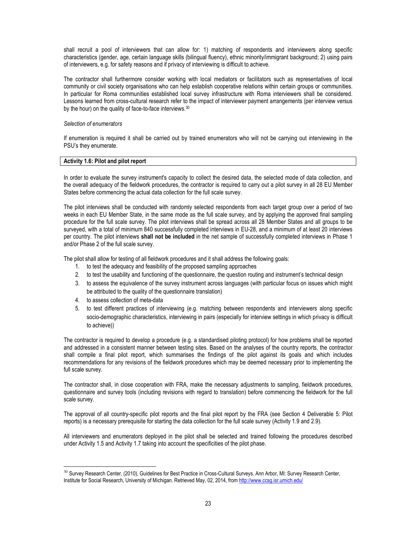shall recruit a pool of interviewers that can allow for: 1) matching of respondents and interviewers along specific characteristics (gender, age, certain language skills (bilingual fluency), ethnic minority/immigrant background; 2) using pairs of interviewers, e.g. for safety reasons and if privacy of interviewing is difficult to achieve.

The contractor shall furthermore consider working with local mediators or facilitators such as representatives of local community or civil society organisations who can help establish cooperative relations within certain groups or communities. In particular for Roma communities established local survey infrastructure with Roma interviewers shall be considered. Lessons learned from cross-cultural research refer to the impact of interviewer payment arrangements (per interview versus by the hour) on the quality of face-to-face interviews.<sup>30</sup>

#### Selection of enumerators

If enumeration is required it shall be carried out by trained enumerators who will not be carrying out interviewing in the PSU's they enumerate.

#### Activity 1.6: Pilot and pilot report

In order to evaluate the survey instrument's capacity to collect the desired data, the selected mode of data collection, and the overall adequacy of the fieldwork procedures, the contractor is required to carry out a pilot survey in all 28 EU Member States before commencing the actual data collection for the full scale survey.

The pilot interviews shall be conducted with randomly selected respondents from each target group over a period of two weeks in each EU Member State, in the same mode as the full scale survey, and by applying the approved final sampling procedure for the full scale survey. The pilot interviews shall be spread across all 28 Member States and all groups to be surveyed, with a total of minimum 840 successfully completed interviews in EU-28, and a minimum of at least 20 interviews per country. The pilot interviews shall not be included in the net sample of successfully completed interviews in Phase 1 and/or Phase 2 of the full scale survey.

The pilot shall allow for testing of all fieldwork procedures and it shall address the following goals:

- 1. to test the adequacy and feasibility of the proposed sampling approaches
- 2. to test the usability and functioning of the questionnaire, the question routing and instrument's technical design
- 3. to assess the equivalence of the survey instrument across languages (with particular focus on issues which might be attributed to the quality of the questionnaire translation)
- 4. to assess collection of meta-data

 $\overline{a}$ 

5. to test different practices of interviewing (e.g. matching between respondents and interviewers along specific socio-demographic characteristics, interviewing in pairs (especially for interview settings in which privacy is difficult to achieve))

The contractor is required to develop a procedure (e.g. a standardised piloting protocol) for how problems shall be reported and addressed in a consistent manner between testing sites. Based on the analyses of the country reports, the contractor shall compile a final pilot report, which summarises the findings of the pilot against its goals and which includes recommendations for any revisions of the fieldwork procedures which may be deemed necessary prior to implementing the full scale survey.

The contractor shall, in close cooperation with FRA, make the necessary adjustments to sampling, fieldwork procedures, questionnaire and survey tools (including revisions with regard to translation) before commencing the fieldwork for the full scale survey.

The approval of all country-specific pilot reports and the final pilot report by the FRA (see Section 4 Deliverable 5: Pilot reports) is a necessary prerequisite for starting the data collection for the full scale survey (Activity 1.9 and 2.9).

All interviewers and enumerators deployed in the pilot shall be selected and trained following the procedures described under Activity 1.5 and Activity 1.7 taking into account the specificities of the pilot phase.

<sup>&</sup>lt;sup>30</sup> Survey Research Center, (2010), Guidelines for Best Practice in Cross-Cultural Surveys. Ann Arbor, MI: Survey Research Center, Institute for Social Research, University of Michigan. Retrieved May, 02, 2014, from http://www.ccsg.isr.umich.edu/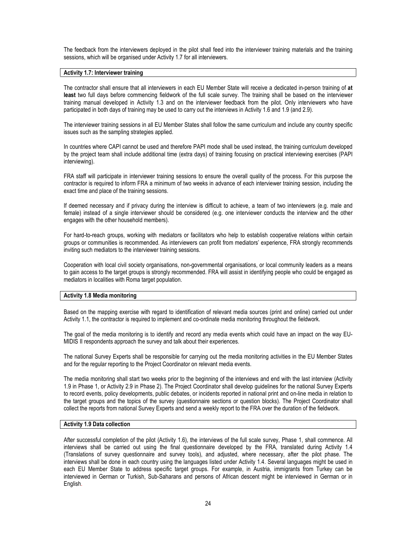The feedback from the interviewers deployed in the pilot shall feed into the interviewer training materials and the training sessions, which will be organised under Activity 1.7 for all interviewers.

#### Activity 1.7: Interviewer training

The contractor shall ensure that all interviewers in each EU Member State will receive a dedicated in-person training of at least two full days before commencing fieldwork of the full scale survey. The training shall be based on the interviewer training manual developed in Activity 1.3 and on the interviewer feedback from the pilot. Only interviewers who have participated in both days of training may be used to carry out the interviews in Activity 1.6 and 1.9 (and 2.9).

The interviewer training sessions in all EU Member States shall follow the same curriculum and include any country specific issues such as the sampling strategies applied.

In countries where CAPI cannot be used and therefore PAPI mode shall be used instead, the training curriculum developed by the project team shall include additional time (extra days) of training focusing on practical interviewing exercises (PAPI interviewing).

FRA staff will participate in interviewer training sessions to ensure the overall quality of the process. For this purpose the contractor is required to inform FRA a minimum of two weeks in advance of each interviewer training session, including the exact time and place of the training sessions.

If deemed necessary and if privacy during the interview is difficult to achieve, a team of two interviewers (e.g. male and female) instead of a single interviewer should be considered (e.g. one interviewer conducts the interview and the other engages with the other household members).

For hard-to-reach groups, working with mediators or facilitators who help to establish cooperative relations within certain groups or communities is recommended. As interviewers can profit from mediators' experience, FRA strongly recommends inviting such mediators to the interviewer training sessions.

Cooperation with local civil society organisations, non-governmental organisations, or local community leaders as a means to gain access to the target groups is strongly recommended. FRA will assist in identifying people who could be engaged as mediators in localities with Roma target population.

#### Activity 1.8 Media monitoring

Based on the mapping exercise with regard to identification of relevant media sources (print and online) carried out under Activity 1.1, the contractor is required to implement and co-ordinate media monitoring throughout the fieldwork.

The goal of the media monitoring is to identify and record any media events which could have an impact on the way EU-MIDIS II respondents approach the survey and talk about their experiences.

The national Survey Experts shall be responsible for carrying out the media monitoring activities in the EU Member States and for the regular reporting to the Project Coordinator on relevant media events.

The media monitoring shall start two weeks prior to the beginning of the interviews and end with the last interview (Activity 1.9 in Phase 1, or Activity 2.9 in Phase 2). The Project Coordinator shall develop guidelines for the national Survey Experts to record events, policy developments, public debates, or incidents reported in national print and on-line media in relation to the target groups and the topics of the survey (questionnaire sections or question blocks). The Project Coordinator shall collect the reports from national Survey Experts and send a weekly report to the FRA over the duration of the fieldwork.

#### Activity 1.9 Data collection

After successful completion of the pilot (Activity 1.6), the interviews of the full scale survey, Phase 1, shall commence. All interviews shall be carried out using the final questionnaire developed by the FRA, translated during Activity 1.4 (Translations of survey questionnaire and survey tools), and adjusted, where necessary, after the pilot phase. The interviews shall be done in each country using the languages listed under Activity 1.4. Several languages might be used in each EU Member State to address specific target groups. For example, in Austria, immigrants from Turkey can be interviewed in German or Turkish, Sub-Saharans and persons of African descent might be interviewed in German or in English.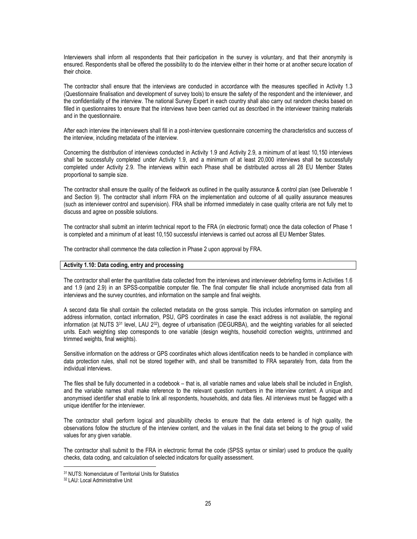Interviewers shall inform all respondents that their participation in the survey is voluntary, and that their anonymity is ensured. Respondents shall be offered the possibility to do the interview either in their home or at another secure location of their choice.

The contractor shall ensure that the interviews are conducted in accordance with the measures specified in Activity 1.3 (Questionnaire finalisation and development of survey tools) to ensure the safety of the respondent and the interviewer, and the confidentiality of the interview. The national Survey Expert in each country shall also carry out random checks based on filled in questionnaires to ensure that the interviews have been carried out as described in the interviewer training materials and in the questionnaire.

After each interview the interviewers shall fill in a post-interview questionnaire concerning the characteristics and success of the interview, including metadata of the interview.

Concerning the distribution of interviews conducted in Activity 1.9 and Activity 2.9, a minimum of at least 10,150 interviews shall be successfully completed under Activity 1.9, and a minimum of at least 20,000 interviews shall be successfully completed under Activity 2.9. The interviews within each Phase shall be distributed across all 28 EU Member States proportional to sample size.

The contractor shall ensure the quality of the fieldwork as outlined in the quality assurance & control plan (see Deliverable 1 and Section 9). The contractor shall inform FRA on the implementation and outcome of all quality assurance measures (such as interviewer control and supervision). FRA shall be informed immediately in case quality criteria are not fully met to discuss and agree on possible solutions.

The contractor shall submit an interim technical report to the FRA (in electronic format) once the data collection of Phase 1 is completed and a minimum of at least 10,150 successful interviews is carried out across all EU Member States.

The contractor shall commence the data collection in Phase 2 upon approval by FRA.

#### Activity 1.10: Data coding, entry and processing

The contractor shall enter the quantitative data collected from the interviews and interviewer debriefing forms in Activities 1.6 and 1.9 (and 2.9) in an SPSS-compatible computer file. The final computer file shall include anonymised data from all interviews and the survey countries, and information on the sample and final weights.

A second data file shall contain the collected metadata on the gross sample. This includes information on sampling and address information, contact information, PSU, GPS coordinates in case the exact address is not available, the regional information (at NUTS 331 level, LAU 232), degree of urbanisation (DEGURBA), and the weighting variables for all selected units. Each weighting step corresponds to one variable (design weights, household correction weights, untrimmed and trimmed weights, final weights).

Sensitive information on the address or GPS coordinates which allows identification needs to be handled in compliance with data protection rules, shall not be stored together with, and shall be transmitted to FRA separately from, data from the individual interviews.

The files shall be fully documented in a codebook – that is, all variable names and value labels shall be included in English, and the variable names shall make reference to the relevant question numbers in the interview content. A unique and anonymised identifier shall enable to link all respondents, households, and data files. All interviews must be flagged with a unique identifier for the interviewer.

The contractor shall perform logical and plausibility checks to ensure that the data entered is of high quality, the observations follow the structure of the interview content, and the values in the final data set belong to the group of valid values for any given variable.

The contractor shall submit to the FRA in electronic format the code (SPSS syntax or similar) used to produce the quality checks, data coding, and calculation of selected indicators for quality assessment.

<sup>31</sup> NUTS: Nomenclature of Territorial Units for Statistics

<sup>32</sup> LAU: Local Administrative Unit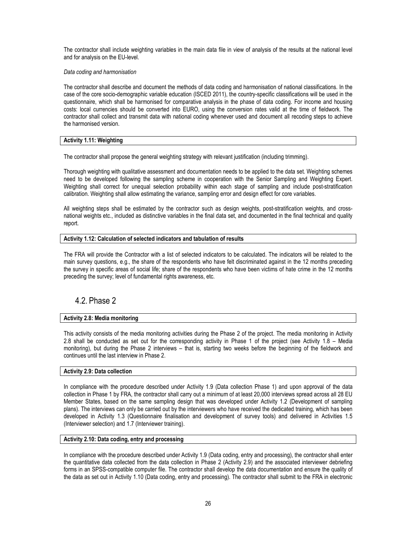The contractor shall include weighting variables in the main data file in view of analysis of the results at the national level and for analysis on the EU-level.

Data coding and harmonisation

The contractor shall describe and document the methods of data coding and harmonisation of national classifications. In the case of the core socio-demographic variable education (ISCED 2011), the country-specific classifications will be used in the questionnaire, which shall be harmonised for comparative analysis in the phase of data coding. For income and housing costs: local currencies should be converted into EURO, using the conversion rates valid at the time of fieldwork. The contractor shall collect and transmit data with national coding whenever used and document all recoding steps to achieve the harmonised version.

#### Activity 1.11: Weighting

The contractor shall propose the general weighting strategy with relevant justification (including trimming).

Thorough weighting with qualitative assessment and documentation needs to be applied to the data set. Weighting schemes need to be developed following the sampling scheme in cooperation with the Senior Sampling and Weighting Expert. Weighting shall correct for unequal selection probability within each stage of sampling and include post-stratification calibration. Weighting shall allow estimating the variance, sampling error and design effect for core variables.

All weighting steps shall be estimated by the contractor such as design weights, post-stratification weights, and crossnational weights etc., included as distinctive variables in the final data set, and documented in the final technical and quality report.

#### Activity 1.12: Calculation of selected indicators and tabulation of results

The FRA will provide the Contractor with a list of selected indicators to be calculated. The indicators will be related to the main survey questions, e.g., the share of the respondents who have felt discriminated against in the 12 months preceding the survey in specific areas of social life; share of the respondents who have been victims of hate crime in the 12 months preceding the survey; level of fundamental rights awareness, etc.

### 4.2. Phase 2

#### Activity 2.8: Media monitoring

This activity consists of the media monitoring activities during the Phase 2 of the project. The media monitoring in Activity 2.8 shall be conducted as set out for the corresponding activity in Phase 1 of the project (see Activity 1.8 – Media monitoring), but during the Phase 2 interviews – that is, starting two weeks before the beginning of the fieldwork and continues until the last interview in Phase 2.

#### Activity 2.9: Data collection

In compliance with the procedure described under Activity 1.9 (Data collection Phase 1) and upon approval of the data collection in Phase 1 by FRA, the contractor shall carry out a minimum of at least 20,000 interviews spread across all 28 EU Member States, based on the same sampling design that was developed under Activity 1.2 (Development of sampling plans). The interviews can only be carried out by the interviewers who have received the dedicated training, which has been developed in Activity 1.3 (Questionnaire finalisation and development of survey tools) and delivered in Activities 1.5 (Interviewer selection) and 1.7 (Interviewer training).

#### Activity 2.10: Data coding, entry and processing

In compliance with the procedure described under Activity 1.9 (Data coding, entry and processing), the contractor shall enter the quantitative data collected from the data collection in Phase 2 (Activity 2.9) and the associated interviewer debriefing forms in an SPSS-compatible computer file. The contractor shall develop the data documentation and ensure the quality of the data as set out in Activity 1.10 (Data coding, entry and processing). The contractor shall submit to the FRA in electronic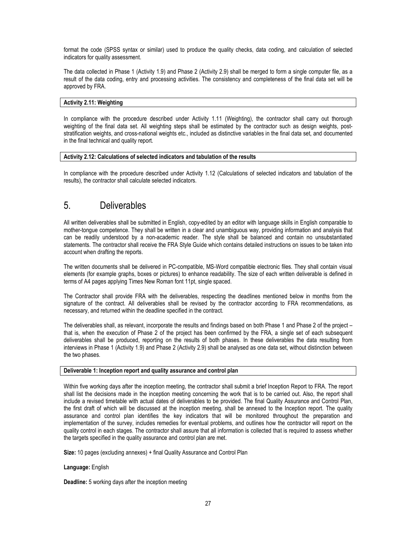format the code (SPSS syntax or similar) used to produce the quality checks, data coding, and calculation of selected indicators for quality assessment.

The data collected in Phase 1 (Activity 1.9) and Phase 2 (Activity 2.9) shall be merged to form a single computer file, as a result of the data coding, entry and processing activities. The consistency and completeness of the final data set will be approved by FRA.

#### Activity 2.11: Weighting

In compliance with the procedure described under Activity 1.11 (Weighting), the contractor shall carry out thorough weighting of the final data set. All weighting steps shall be estimated by the contractor such as design weights, poststratification weights, and cross-national weights etc., included as distinctive variables in the final data set, and documented in the final technical and quality report.

#### Activity 2.12: Calculations of selected indicators and tabulation of the results

In compliance with the procedure described under Activity 1.12 (Calculations of selected indicators and tabulation of the results), the contractor shall calculate selected indicators.

## 5. Deliverables

All written deliverables shall be submitted in English, copy-edited by an editor with language skills in English comparable to mother-tongue competence. They shall be written in a clear and unambiguous way, providing information and analysis that can be readily understood by a non-academic reader. The style shall be balanced and contain no unsubstantiated statements. The contractor shall receive the FRA Style Guide which contains detailed instructions on issues to be taken into account when drafting the reports.

The written documents shall be delivered in PC-compatible, MS-Word compatible electronic files. They shall contain visual elements (for example graphs, boxes or pictures) to enhance readability. The size of each written deliverable is defined in terms of A4 pages applying Times New Roman font 11pt, single spaced.

The Contractor shall provide FRA with the deliverables, respecting the deadlines mentioned below in months from the signature of the contract. All deliverables shall be revised by the contractor according to FRA recommendations, as necessary, and returned within the deadline specified in the contract.

The deliverables shall, as relevant, incorporate the results and findings based on both Phase 1 and Phase 2 of the project – that is, when the execution of Phase 2 of the project has been confirmed by the FRA, a single set of each subsequent deliverables shall be produced, reporting on the results of both phases. In these deliverables the data resulting from interviews in Phase 1 (Activity 1.9) and Phase 2 (Activity 2.9) shall be analysed as one data set, without distinction between the two phases.

#### Deliverable 1: Inception report and quality assurance and control plan

Within five working days after the inception meeting, the contractor shall submit a brief Inception Report to FRA. The report shall list the decisions made in the inception meeting concerning the work that is to be carried out. Also, the report shall include a revised timetable with actual dates of deliverables to be provided. The final Quality Assurance and Control Plan, the first draft of which will be discussed at the inception meeting, shall be annexed to the Inception report. The quality assurance and control plan identifies the key indicators that will be monitored throughout the preparation and implementation of the survey, includes remedies for eventual problems, and outlines how the contractor will report on the quality control in each stages. The contractor shall assure that all information is collected that is required to assess whether the targets specified in the quality assurance and control plan are met.

Size: 10 pages (excluding annexes) + final Quality Assurance and Control Plan

#### Language: English

Deadline: 5 working days after the inception meeting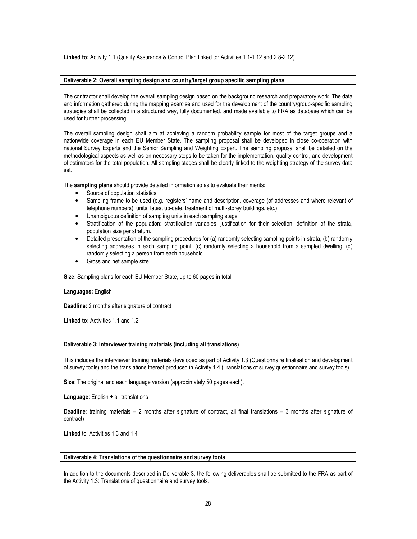Linked to: Activity 1.1 (Quality Assurance & Control Plan linked to: Activities 1.1-1.12 and 2.8-2.12)

#### Deliverable 2: Overall sampling design and country/target group specific sampling plans

The contractor shall develop the overall sampling design based on the background research and preparatory work. The data and information gathered during the mapping exercise and used for the development of the country/group-specific sampling strategies shall be collected in a structured way, fully documented, and made available to FRA as database which can be used for further processing.

The overall sampling design shall aim at achieving a random probability sample for most of the target groups and a nationwide coverage in each EU Member State. The sampling proposal shall be developed in close co-operation with national Survey Experts and the Senior Sampling and Weighting Expert. The sampling proposal shall be detailed on the methodological aspects as well as on necessary steps to be taken for the implementation, quality control, and development of estimators for the total population. All sampling stages shall be clearly linked to the weighting strategy of the survey data set.

The sampling plans should provide detailed information so as to evaluate their merits:

- Source of population statistics
- Sampling frame to be used (e.g. registers' name and description, coverage (of addresses and where relevant of telephone numbers), units, latest up-date, treatment of multi-storey buildings, etc.)
- Unambiguous definition of sampling units in each sampling stage
- Stratification of the population: stratification variables, justification for their selection, definition of the strata, population size per stratum.
- Detailed presentation of the sampling procedures for (a) randomly selecting sampling points in strata, (b) randomly selecting addresses in each sampling point, (c) randomly selecting a household from a sampled dwelling, (d) randomly selecting a person from each household.
- Gross and net sample size

Size: Sampling plans for each EU Member State, up to 60 pages in total

#### Languages: English

Deadline: 2 months after signature of contract

Linked to: Activities 1.1 and 1.2

#### Deliverable 3: Interviewer training materials (including all translations)

This includes the interviewer training materials developed as part of Activity 1.3 (Questionnaire finalisation and development of survey tools) and the translations thereof produced in Activity 1.4 (Translations of survey questionnaire and survey tools).

Size: The original and each language version (approximately 50 pages each).

Language: English + all translations

Deadline: training materials – 2 months after signature of contract, all final translations – 3 months after signature of contract)

Linked to: Activities 1.3 and 1.4

#### Deliverable 4: Translations of the questionnaire and survey tools

In addition to the documents described in Deliverable 3, the following deliverables shall be submitted to the FRA as part of the Activity 1.3: Translations of questionnaire and survey tools.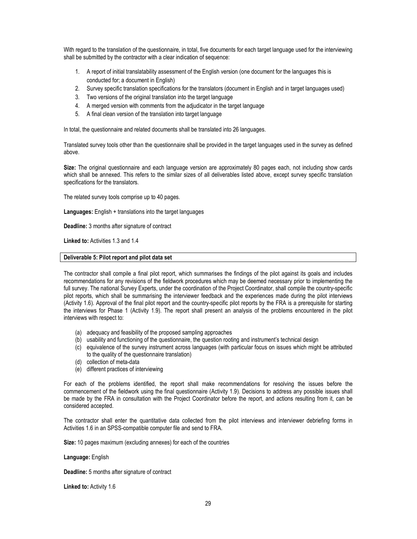With regard to the translation of the questionnaire, in total, five documents for each target language used for the interviewing shall be submitted by the contractor with a clear indication of sequence:

- 1. A report of initial translatability assessment of the English version (one document for the languages this is conducted for; a document in English)
- 2. Survey specific translation specifications for the translators (document in English and in target languages used)
- 3. Two versions of the original translation into the target language
- 4. A merged version with comments from the adjudicator in the target language
- 5. A final clean version of the translation into target language

In total, the questionnaire and related documents shall be translated into 26 languages.

Translated survey tools other than the questionnaire shall be provided in the target languages used in the survey as defined above.

Size: The original questionnaire and each language version are approximately 80 pages each, not including show cards which shall be annexed. This refers to the similar sizes of all deliverables listed above, except survey specific translation specifications for the translators.

The related survey tools comprise up to 40 pages.

Languages: English + translations into the target languages

Deadline: 3 months after signature of contract

Linked to: Activities 1.3 and 1.4

#### Deliverable 5: Pilot report and pilot data set

The contractor shall compile a final pilot report, which summarises the findings of the pilot against its goals and includes recommendations for any revisions of the fieldwork procedures which may be deemed necessary prior to implementing the full survey. The national Survey Experts, under the coordination of the Project Coordinator, shall compile the country-specific pilot reports, which shall be summarising the interviewer feedback and the experiences made during the pilot interviews (Activity 1.6). Approval of the final pilot report and the country-specific pilot reports by the FRA is a prerequisite for starting the interviews for Phase 1 (Activity 1.9). The report shall present an analysis of the problems encountered in the pilot interviews with respect to:

- (a) adequacy and feasibility of the proposed sampling approaches
- (b) usability and functioning of the questionnaire, the question rooting and instrument's technical design
- (c) equivalence of the survey instrument across languages (with particular focus on issues which might be attributed to the quality of the questionnaire translation)
- (d) collection of meta-data
- (e) different practices of interviewing

For each of the problems identified, the report shall make recommendations for resolving the issues before the commencement of the fieldwork using the final questionnaire (Activity 1.9). Decisions to address any possible issues shall be made by the FRA in consultation with the Project Coordinator before the report, and actions resulting from it, can be considered accepted.

The contractor shall enter the quantitative data collected from the pilot interviews and interviewer debriefing forms in Activities 1.6 in an SPSS-compatible computer file and send to FRA.

Size: 10 pages maximum (excluding annexes) for each of the countries

#### Language: English

Deadline: 5 months after signature of contract

Linked to: Activity 1.6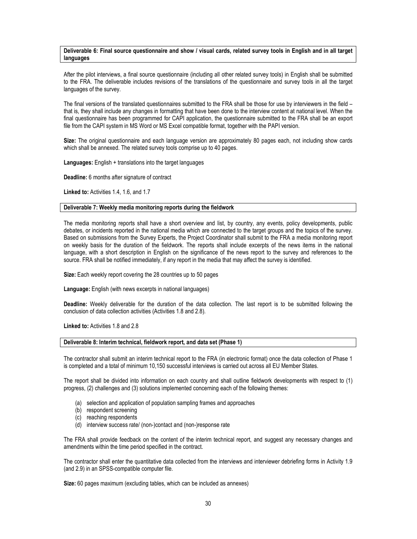#### Deliverable 6: Final source questionnaire and show / visual cards, related survey tools in English and in all target languages

After the pilot interviews, a final source questionnaire (including all other related survey tools) in English shall be submitted to the FRA. The deliverable includes revisions of the translations of the questionnaire and survey tools in all the target languages of the survey.

The final versions of the translated questionnaires submitted to the FRA shall be those for use by interviewers in the field – that is, they shall include any changes in formatting that have been done to the interview content at national level. When the final questionnaire has been programmed for CAPI application, the questionnaire submitted to the FRA shall be an export file from the CAPI system in MS Word or MS Excel compatible format, together with the PAPI version.

Size: The original questionnaire and each language version are approximately 80 pages each, not including show cards which shall be annexed. The related survey tools comprise up to 40 pages.

Languages: English + translations into the target languages

Deadline: 6 months after signature of contract

Linked to: Activities 1.4, 1.6, and 1.7

#### Deliverable 7: Weekly media monitoring reports during the fieldwork

The media monitoring reports shall have a short overview and list, by country, any events, policy developments, public debates, or incidents reported in the national media which are connected to the target groups and the topics of the survey. Based on submissions from the Survey Experts, the Project Coordinator shall submit to the FRA a media monitoring report on weekly basis for the duration of the fieldwork. The reports shall include excerpts of the news items in the national language, with a short description in English on the significance of the news report to the survey and references to the source. FRA shall be notified immediately, if any report in the media that may affect the survey is identified.

Size: Each weekly report covering the 28 countries up to 50 pages

Language: English (with news excerpts in national languages)

Deadline: Weekly deliverable for the duration of the data collection. The last report is to be submitted following the conclusion of data collection activities (Activities 1.8 and 2.8).

Linked to: Activities 1.8 and 2.8

#### Deliverable 8: Interim technical, fieldwork report, and data set (Phase 1)

The contractor shall submit an interim technical report to the FRA (in electronic format) once the data collection of Phase 1 is completed and a total of minimum 10,150 successful interviews is carried out across all EU Member States.

The report shall be divided into information on each country and shall outline fieldwork developments with respect to (1) progress, (2) challenges and (3) solutions implemented concerning each of the following themes:

- (a) selection and application of population sampling frames and approaches
- (b) respondent screening
- (c) reaching respondents
- (d) interview success rate/ (non-)contact and (non-)response rate

The FRA shall provide feedback on the content of the interim technical report, and suggest any necessary changes and amendments within the time period specified in the contract.

The contractor shall enter the quantitative data collected from the interviews and interviewer debriefing forms in Activity 1.9 (and 2.9) in an SPSS-compatible computer file.

Size: 60 pages maximum (excluding tables, which can be included as annexes)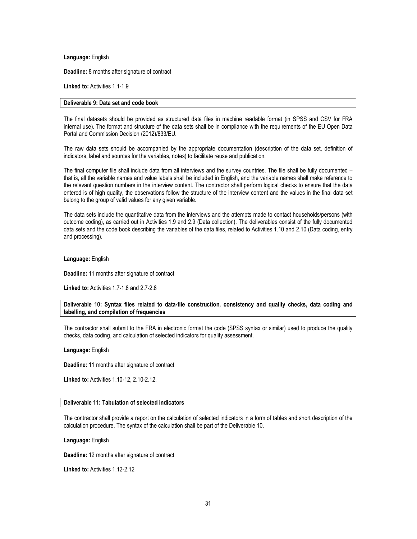Language: English

Deadline: 8 months after signature of contract

Linked to: Activities 1.1-1.9

#### Deliverable 9: Data set and code book

The final datasets should be provided as structured data files in machine readable format (in SPSS and CSV for FRA internal use). The format and structure of the data sets shall be in compliance with the requirements of the EU Open Data Portal and Commission Decision (2012)/833/EU.

The raw data sets should be accompanied by the appropriate documentation (description of the data set, definition of indicators, label and sources for the variables, notes) to facilitate reuse and publication.

The final computer file shall include data from all interviews and the survey countries. The file shall be fully documented – that is, all the variable names and value labels shall be included in English, and the variable names shall make reference to the relevant question numbers in the interview content. The contractor shall perform logical checks to ensure that the data entered is of high quality, the observations follow the structure of the interview content and the values in the final data set belong to the group of valid values for any given variable.

The data sets include the quantitative data from the interviews and the attempts made to contact households/persons (with outcome coding), as carried out in Activities 1.9 and 2.9 (Data collection). The deliverables consist of the fully documented data sets and the code book describing the variables of the data files, related to Activities 1.10 and 2.10 (Data coding, entry and processing).

Language: English

Deadline: 11 months after signature of contract

Linked to: Activities 1.7-1.8 and 2.7-2.8

Deliverable 10: Syntax files related to data-file construction, consistency and quality checks, data coding and labelling, and compilation of frequencies

The contractor shall submit to the FRA in electronic format the code (SPSS syntax or similar) used to produce the quality checks, data coding, and calculation of selected indicators for quality assessment.

Language: English

Deadline: 11 months after signature of contract

Linked to: Activities 1.10-12, 2.10-2.12.

#### Deliverable 11: Tabulation of selected indicators

The contractor shall provide a report on the calculation of selected indicators in a form of tables and short description of the calculation procedure. The syntax of the calculation shall be part of the Deliverable 10.

Language: English

Deadline: 12 months after signature of contract

Linked to: Activities 1.12-2.12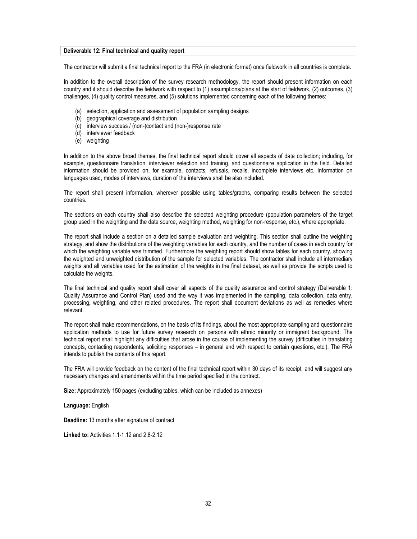#### Deliverable 12: Final technical and quality report

The contractor will submit a final technical report to the FRA (in electronic format) once fieldwork in all countries is complete.

In addition to the overall description of the survey research methodology, the report should present information on each country and it should describe the fieldwork with respect to (1) assumptions/plans at the start of fieldwork, (2) outcomes, (3) challenges, (4) quality control measures, and (5) solutions implemented concerning each of the following themes:

- (a) selection, application and assessment of population sampling designs
- (b) geographical coverage and distribution
- (c) interview success / (non-)contact and (non-)response rate
- (d) interviewer feedback
- (e) weighting

In addition to the above broad themes, the final technical report should cover all aspects of data collection; including, for example, questionnaire translation, interviewer selection and training, and questionnaire application in the field. Detailed information should be provided on, for example, contacts, refusals, recalls, incomplete interviews etc. Information on languages used, modes of interviews, duration of the interviews shall be also included.

The report shall present information, wherever possible using tables/graphs, comparing results between the selected countries.

The sections on each country shall also describe the selected weighting procedure (population parameters of the target group used in the weighting and the data source, weighting method, weighting for non-response, etc.), where appropriate.

The report shall include a section on a detailed sample evaluation and weighting. This section shall outline the weighting strategy, and show the distributions of the weighting variables for each country, and the number of cases in each country for which the weighting variable was trimmed. Furthermore the weighting report should show tables for each country, showing the weighted and unweighted distribution of the sample for selected variables. The contractor shall include all intermediary weights and all variables used for the estimation of the weights in the final dataset, as well as provide the scripts used to calculate the weights.

The final technical and quality report shall cover all aspects of the quality assurance and control strategy (Deliverable 1: Quality Assurance and Control Plan) used and the way it was implemented in the sampling, data collection, data entry, processing, weighting, and other related procedures. The report shall document deviations as well as remedies where relevant.

The report shall make recommendations, on the basis of its findings, about the most appropriate sampling and questionnaire application methods to use for future survey research on persons with ethnic minority or immigrant background. The technical report shall highlight any difficulties that arose in the course of implementing the survey (difficulties in translating concepts, contacting respondents, soliciting responses – in general and with respect to certain questions, etc.). The FRA intends to publish the contents of this report.

The FRA will provide feedback on the content of the final technical report within 30 days of its receipt, and will suggest any necessary changes and amendments within the time period specified in the contract.

Size: Approximately 150 pages (excluding tables, which can be included as annexes)

Language: English

Deadline: 13 months after signature of contract

Linked to: Activities 1.1-1.12 and 2.8-2.12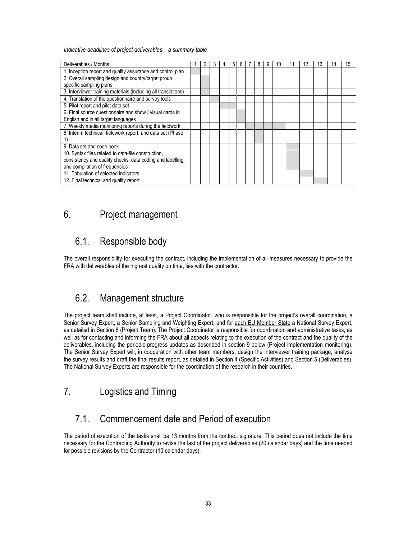Indicative deadlines of project deliverables – a summary table

| Deliverables / Months                                          |  |  | 4 | 5 | h | 8 | 9 | 10 |  | 13 | 14 | 15 |
|----------------------------------------------------------------|--|--|---|---|---|---|---|----|--|----|----|----|
| 1. Inception report and quality assurance and control plan     |  |  |   |   |   |   |   |    |  |    |    |    |
| 2. Overall sampling design and country/target group            |  |  |   |   |   |   |   |    |  |    |    |    |
| specific sampling plans                                        |  |  |   |   |   |   |   |    |  |    |    |    |
| 3. Interviewer training materials (including all translations) |  |  |   |   |   |   |   |    |  |    |    |    |
| 4. Translation of the questionnaire and survey tools           |  |  |   |   |   |   |   |    |  |    |    |    |
| 5. Pilot report and pilot data set                             |  |  |   |   |   |   |   |    |  |    |    |    |
| 6. Final source questionnaire and show / visual cards in       |  |  |   |   |   |   |   |    |  |    |    |    |
| English and in all target languages                            |  |  |   |   |   |   |   |    |  |    |    |    |
| 7. Weekly media monitoring reports during the fieldwork        |  |  |   |   |   |   |   |    |  |    |    |    |
| 8. Interim technical, fieldwork report, and data set (Phase    |  |  |   |   |   |   |   |    |  |    |    |    |
|                                                                |  |  |   |   |   |   |   |    |  |    |    |    |
| 9. Data set and code book                                      |  |  |   |   |   |   |   |    |  |    |    |    |
| 10. Syntax files related to data-file construction,            |  |  |   |   |   |   |   |    |  |    |    |    |
| consistency and quality checks, data coding and labelling,     |  |  |   |   |   |   |   |    |  |    |    |    |
| and compilation of frequencies                                 |  |  |   |   |   |   |   |    |  |    |    |    |
| 11. Tabulation of selected indicators                          |  |  |   |   |   |   |   |    |  |    |    |    |
| 12. Final technical and quality report                         |  |  |   |   |   |   |   |    |  |    |    |    |

## 6. Project management

## 6.1. Responsible body

The overall responsibility for executing the contract, including the implementation of all measures necessary to provide the FRA with deliverables of the highest quality on time, lies with the contractor.

## 6.2. Management structure

The project team shall include, at least, a Project Coordinator, who is responsible for the project's overall coordination, a Senior Survey Expert, a Senior Sampling and Weighting Expert, and for each EU Member State a National Survey Expert, as detailed in Section 8 (Project Team). The Project Coordinator is responsible for coordination and administrative tasks, as well as for contacting and informing the FRA about all aspects relating to the execution of the contract and the quality of the deliverables, including the periodic progress updates as described in section 9 below (Project implementation monitoring). The Senior Survey Expert will, in cooperation with other team members, design the interviewer training package, analyse the survey results and draft the final results report, as detailed in Section 4 (Specific Activities) and Section 5 (Deliverables). The National Survey Experts are responsible for the coordination of the research in their countries.

## 7. Logistics and Timing

## 7.1. Commencement date and Period of execution

The period of execution of the tasks shall be 13 months from the contract signature. This period does not include the time necessary for the Contracting Authority to revise the last of the project deliverables (20 calendar days) and the time needed for possible revisions by the Contractor (10 calendar days).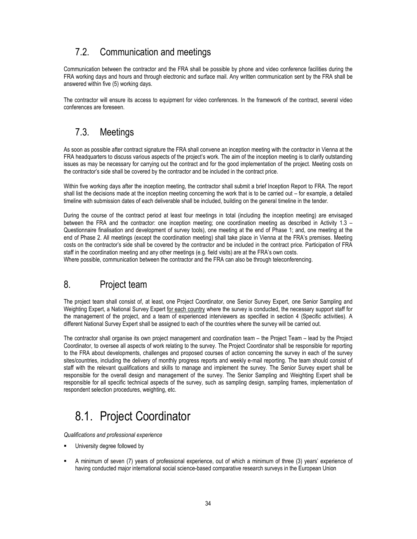## 7.2. Communication and meetings

Communication between the contractor and the FRA shall be possible by phone and video conference facilities during the FRA working days and hours and through electronic and surface mail. Any written communication sent by the FRA shall be answered within five (5) working days.

The contractor will ensure its access to equipment for video conferences. In the framework of the contract, several video conferences are foreseen.

## 7.3. Meetings

As soon as possible after contract signature the FRA shall convene an inception meeting with the contractor in Vienna at the FRA headquarters to discuss various aspects of the project's work. The aim of the inception meeting is to clarify outstanding issues as may be necessary for carrying out the contract and for the good implementation of the project. Meeting costs on the contractor's side shall be covered by the contractor and be included in the contract price.

Within five working days after the inception meeting, the contractor shall submit a brief Inception Report to FRA. The report shall list the decisions made at the inception meeting concerning the work that is to be carried out – for example, a detailed timeline with submission dates of each deliverable shall be included, building on the general timeline in the tender.

During the course of the contract period at least four meetings in total (including the inception meeting) are envisaged between the FRA and the contractor: one inception meeting; one coordination meeting as described in Activity 1.3 – Questionnaire finalisation and development of survey tools), one meeting at the end of Phase 1; and, one meeting at the end of Phase 2. All meetings (except the coordination meeting) shall take place in Vienna at the FRA's premises. Meeting costs on the contractor's side shall be covered by the contractor and be included in the contract price. Participation of FRA staff in the coordination meeting and any other meetings (e.g. field visits) are at the FRA's own costs. Where possible, communication between the contractor and the FRA can also be through teleconferencing.

## 8. Project team

The project team shall consist of, at least, one Project Coordinator, one Senior Survey Expert, one Senior Sampling and Weighting Expert, a National Survey Expert for each country where the survey is conducted, the necessary support staff for the management of the project, and a team of experienced interviewers as specified in section 4 (Specific activities). A different National Survey Expert shall be assigned to each of the countries where the survey will be carried out.

The contractor shall organise its own project management and coordination team – the Project Team – lead by the Project Coordinator, to oversee all aspects of work relating to the survey. The Project Coordinator shall be responsible for reporting to the FRA about developments, challenges and proposed courses of action concerning the survey in each of the survey sites/countries, including the delivery of monthly progress reports and weekly e-mail reporting. The team should consist of staff with the relevant qualifications and skills to manage and implement the survey. The Senior Survey expert shall be responsible for the overall design and management of the survey. The Senior Sampling and Weighting Expert shall be responsible for all specific technical aspects of the survey, such as sampling design, sampling frames, implementation of respondent selection procedures, weighting, etc.

# 8.1. Project Coordinator

Qualifications and professional experience

- University degree followed by
- A minimum of seven (7) years of professional experience, out of which a minimum of three (3) years' experience of having conducted major international social science-based comparative research surveys in the European Union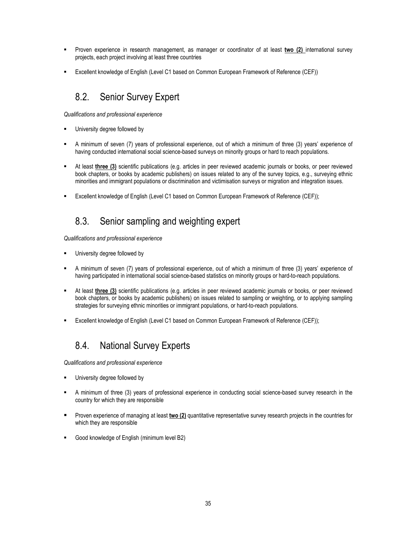- Proven experience in research management, as manager or coordinator of at least two (2) international survey projects, each project involving at least three countries
- Excellent knowledge of English (Level C1 based on Common European Framework of Reference (CEF))

## 8.2. Senior Survey Expert

Qualifications and professional experience

- University degree followed by
- A minimum of seven (7) years of professional experience, out of which a minimum of three (3) years' experience of having conducted international social science-based surveys on minority groups or hard to reach populations.
- At least three (3) scientific publications (e.g. articles in peer reviewed academic journals or books, or peer reviewed book chapters, or books by academic publishers) on issues related to any of the survey topics, e.g., surveying ethnic minorities and immigrant populations or discrimination and victimisation surveys or migration and integration issues.
- Excellent knowledge of English (Level C1 based on Common European Framework of Reference (CEF));

## 8.3. Senior sampling and weighting expert

Qualifications and professional experience

- University degree followed by
- A minimum of seven (7) years of professional experience, out of which a minimum of three (3) years' experience of having participated in international social science-based statistics on minority groups or hard-to-reach populations.
- At least three (3) scientific publications (e.g. articles in peer reviewed academic journals or books, or peer reviewed book chapters, or books by academic publishers) on issues related to sampling or weighting, or to applying sampling strategies for surveying ethnic minorities or immigrant populations, or hard-to-reach populations.
- Excellent knowledge of English (Level C1 based on Common European Framework of Reference (CEF));

## 8.4. National Survey Experts

Qualifications and professional experience

- **University degree followed by**
- A minimum of three (3) years of professional experience in conducting social science-based survey research in the country for which they are responsible
- Proven experience of managing at least two (2) quantitative representative survey research projects in the countries for which they are responsible
- Good knowledge of English (minimum level B2)